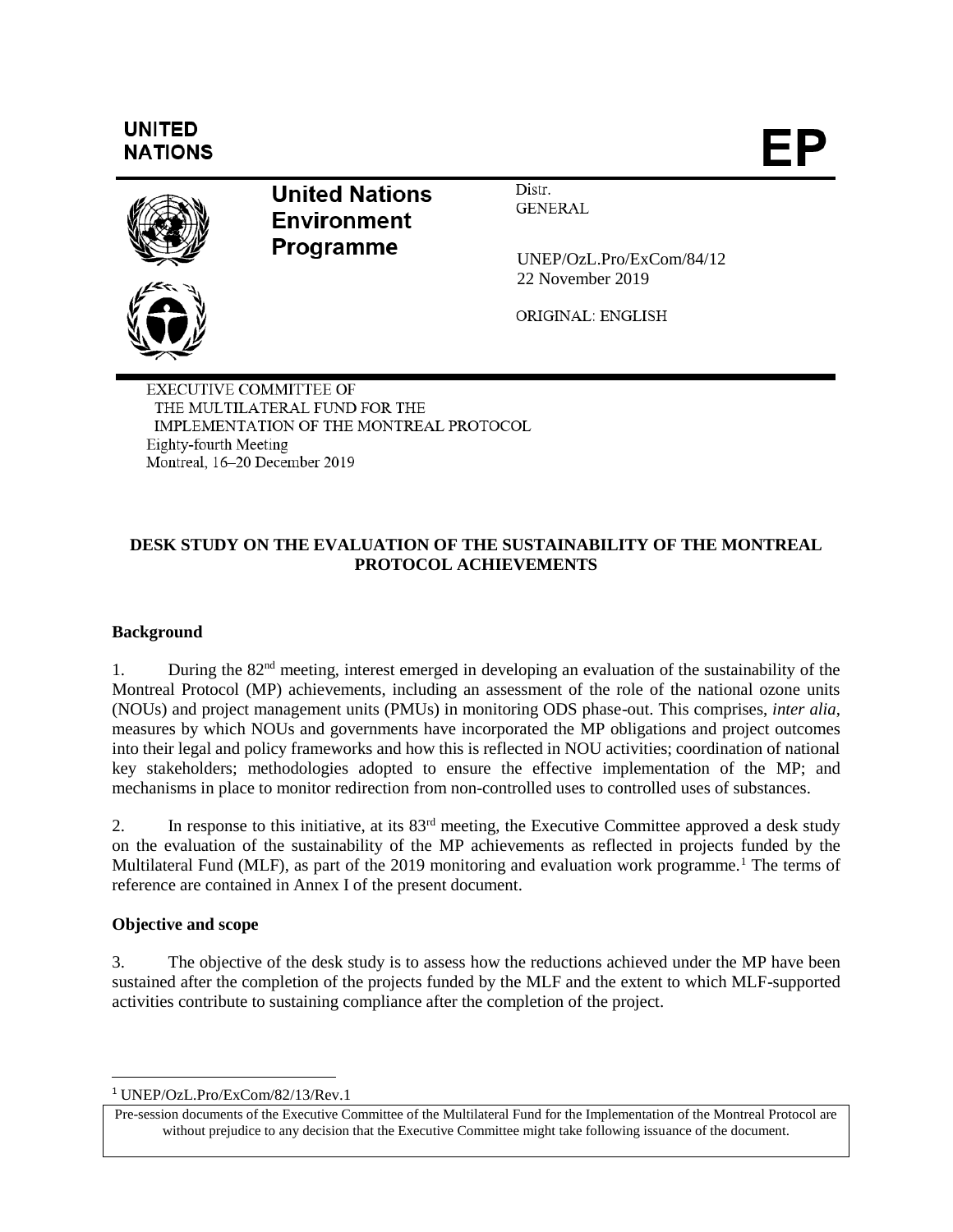# **UNITED NATIONS**

ÞΡ



**United Nations Environment Programme** 

Distr. **GENERAL** 

 UNEP/OzL.Pro/ExCom/84/12 22 November 2019

ORIGINAL: ENGLISH

**EXECUTIVE COMMITTEE OF** THE MULTILATERAL FUND FOR THE IMPLEMENTATION OF THE MONTREAL PROTOCOL Eighty-fourth Meeting Montreal, 16-20 December 2019

# **DESK STUDY ON THE EVALUATION OF THE SUSTAINABILITY OF THE MONTREAL PROTOCOL ACHIEVEMENTS**

# **Background**

1. During the 82nd meeting, interest emerged in developing an evaluation of the sustainability of the Montreal Protocol (MP) achievements, including an assessment of the role of the national ozone units (NOUs) and project management units (PMUs) in monitoring ODS phase-out. This comprises, *inter alia*, measures by which NOUs and governments have incorporated the MP obligations and project outcomes into their legal and policy frameworks and how this is reflected in NOU activities; coordination of national key stakeholders; methodologies adopted to ensure the effective implementation of the MP; and mechanisms in place to monitor redirection from non-controlled uses to controlled uses of substances.

2. In response to this initiative, at its 83<sup>rd</sup> meeting, the Executive Committee approved a desk study on the evaluation of the sustainability of the MP achievements as reflected in projects funded by the Multilateral Fund (MLF), as part of the 2019 monitoring and evaluation work programme.<sup>1</sup> The terms of reference are contained in Annex I of the present document.

# **Objective and scope**

 $\overline{a}$ 

3. The objective of the desk study is to assess how the reductions achieved under the MP have been sustained after the completion of the projects funded by the MLF and the extent to which MLF-supported activities contribute to sustaining compliance after the completion of the project.

<sup>1</sup> UNEP/OzL.Pro/ExCom/82/13/Rev.1

Pre-session documents of the Executive Committee of the Multilateral Fund for the Implementation of the Montreal Protocol are without prejudice to any decision that the Executive Committee might take following issuance of the document.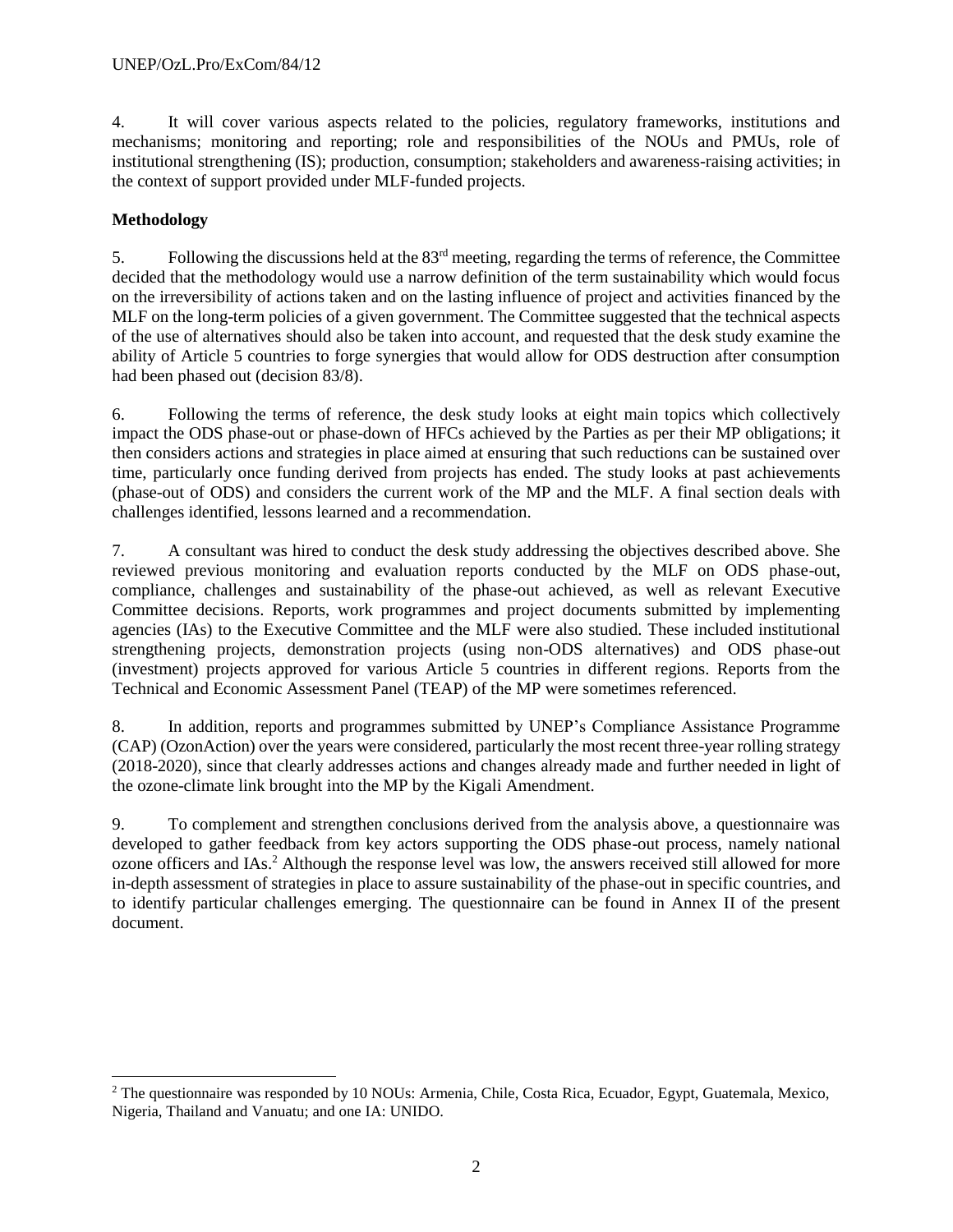4. It will cover various aspects related to the policies, regulatory frameworks, institutions and mechanisms; monitoring and reporting; role and responsibilities of the NOUs and PMUs, role of institutional strengthening (IS); production, consumption; stakeholders and awareness-raising activities; in the context of support provided under MLF-funded projects.

# **Methodology**

5. Following the discussions held at the 83rd meeting, regarding the terms of reference, the Committee decided that the methodology would use a narrow definition of the term sustainability which would focus on the irreversibility of actions taken and on the lasting influence of project and activities financed by the MLF on the long-term policies of a given government. The Committee suggested that the technical aspects of the use of alternatives should also be taken into account, and requested that the desk study examine the ability of Article 5 countries to forge synergies that would allow for ODS destruction after consumption had been phased out (decision 83/8).

6. Following the terms of reference, the desk study looks at eight main topics which collectively impact the ODS phase-out or phase-down of HFCs achieved by the Parties as per their MP obligations; it then considers actions and strategies in place aimed at ensuring that such reductions can be sustained over time, particularly once funding derived from projects has ended. The study looks at past achievements (phase-out of ODS) and considers the current work of the MP and the MLF. A final section deals with challenges identified, lessons learned and a recommendation.

7. A consultant was hired to conduct the desk study addressing the objectives described above. She reviewed previous monitoring and evaluation reports conducted by the MLF on ODS phase-out, compliance, challenges and sustainability of the phase-out achieved, as well as relevant Executive Committee decisions. Reports, work programmes and project documents submitted by implementing agencies (IAs) to the Executive Committee and the MLF were also studied. These included institutional strengthening projects, demonstration projects (using non-ODS alternatives) and ODS phase-out (investment) projects approved for various Article 5 countries in different regions. Reports from the Technical and Economic Assessment Panel (TEAP) of the MP were sometimes referenced.

8. In addition, reports and programmes submitted by UNEP's Compliance Assistance Programme (CAP) (OzonAction) over the years were considered, particularly the most recent three-year rolling strategy (2018-2020), since that clearly addresses actions and changes already made and further needed in light of the ozone-climate link brought into the MP by the Kigali Amendment.

9. To complement and strengthen conclusions derived from the analysis above, a questionnaire was developed to gather feedback from key actors supporting the ODS phase-out process, namely national ozone officers and IAs.<sup>2</sup> Although the response level was low, the answers received still allowed for more in-depth assessment of strategies in place to assure sustainability of the phase-out in specific countries, and to identify particular challenges emerging. The questionnaire can be found in Annex II of the present document.

l <sup>2</sup> The questionnaire was responded by 10 NOUs: Armenia, Chile, Costa Rica, Ecuador, Egypt, Guatemala, Mexico, Nigeria, Thailand and Vanuatu; and one IA: UNIDO.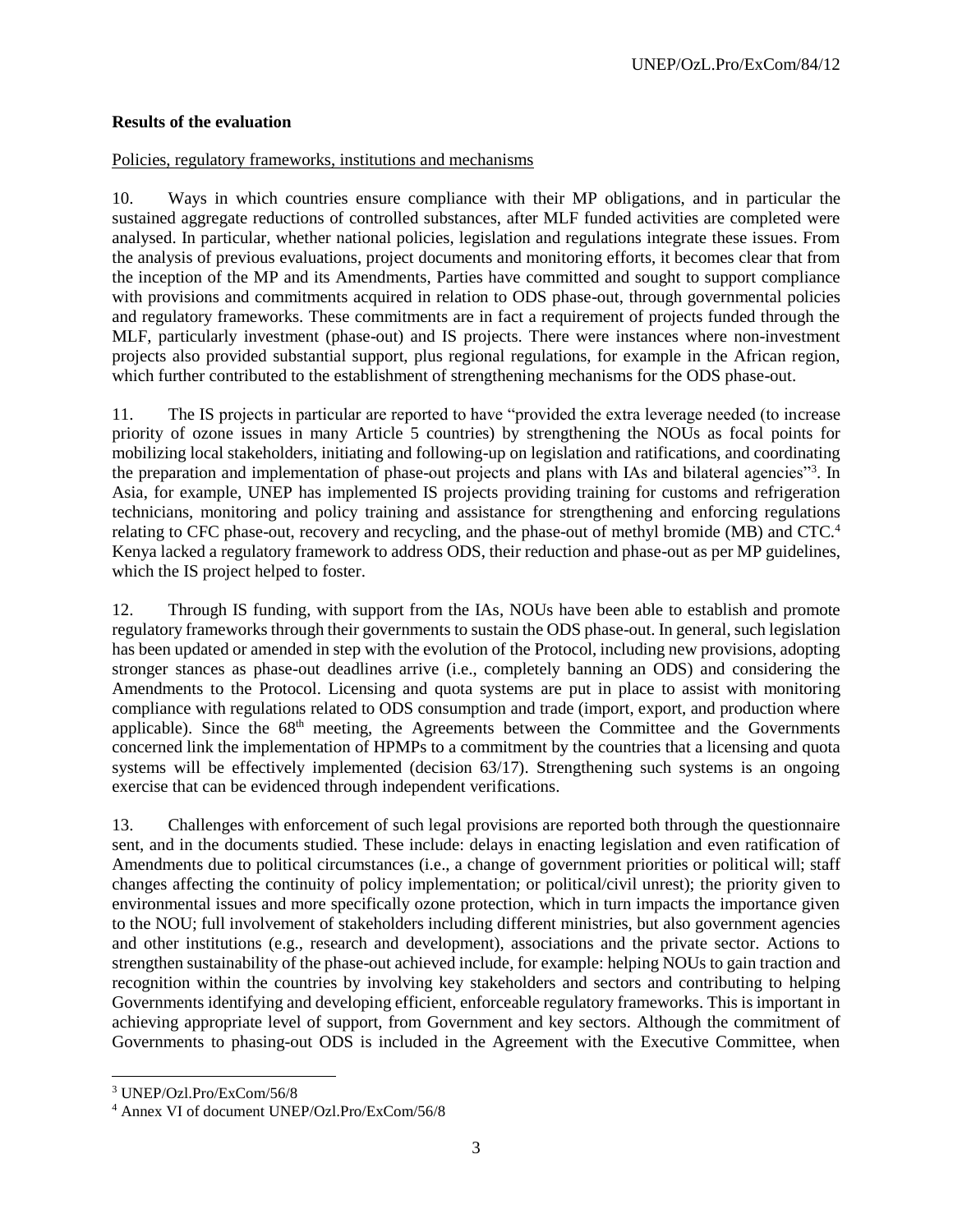## **Results of the evaluation**

#### Policies, regulatory frameworks, institutions and mechanisms

10. Ways in which countries ensure compliance with their MP obligations, and in particular the sustained aggregate reductions of controlled substances, after MLF funded activities are completed were analysed. In particular, whether national policies, legislation and regulations integrate these issues. From the analysis of previous evaluations, project documents and monitoring efforts, it becomes clear that from the inception of the MP and its Amendments, Parties have committed and sought to support compliance with provisions and commitments acquired in relation to ODS phase-out, through governmental policies and regulatory frameworks. These commitments are in fact a requirement of projects funded through the MLF, particularly investment (phase-out) and IS projects. There were instances where non-investment projects also provided substantial support, plus regional regulations, for example in the African region, which further contributed to the establishment of strengthening mechanisms for the ODS phase-out.

11. The IS projects in particular are reported to have "provided the extra leverage needed (to increase priority of ozone issues in many Article 5 countries) by strengthening the NOUs as focal points for mobilizing local stakeholders, initiating and following-up on legislation and ratifications, and coordinating the preparation and implementation of phase-out projects and plans with IAs and bilateral agencies"<sup>3</sup>. In Asia, for example, UNEP has implemented IS projects providing training for customs and refrigeration technicians, monitoring and policy training and assistance for strengthening and enforcing regulations relating to CFC phase-out, recovery and recycling, and the phase-out of methyl bromide (MB) and CTC.<sup>4</sup> Kenya lacked a regulatory framework to address ODS, their reduction and phase-out as per MP guidelines, which the IS project helped to foster.

12. Through IS funding, with support from the IAs, NOUs have been able to establish and promote regulatory frameworks through their governments to sustain the ODS phase-out. In general, such legislation has been updated or amended in step with the evolution of the Protocol, including new provisions, adopting stronger stances as phase-out deadlines arrive (i.e., completely banning an ODS) and considering the Amendments to the Protocol. Licensing and quota systems are put in place to assist with monitoring compliance with regulations related to ODS consumption and trade (import, export, and production where applicable). Since the 68<sup>th</sup> meeting, the Agreements between the Committee and the Governments concerned link the implementation of HPMPs to a commitment by the countries that a licensing and quota systems will be effectively implemented (decision 63/17). Strengthening such systems is an ongoing exercise that can be evidenced through independent verifications.

13. Challenges with enforcement of such legal provisions are reported both through the questionnaire sent, and in the documents studied. These include: delays in enacting legislation and even ratification of Amendments due to political circumstances (i.e., a change of government priorities or political will; staff changes affecting the continuity of policy implementation; or political/civil unrest); the priority given to environmental issues and more specifically ozone protection, which in turn impacts the importance given to the NOU; full involvement of stakeholders including different ministries, but also government agencies and other institutions (e.g., research and development), associations and the private sector. Actions to strengthen sustainability of the phase-out achieved include, for example: helping NOUs to gain traction and recognition within the countries by involving key stakeholders and sectors and contributing to helping Governments identifying and developing efficient, enforceable regulatory frameworks. This is important in achieving appropriate level of support, from Government and key sectors. Although the commitment of Governments to phasing-out ODS is included in the Agreement with the Executive Committee, when

<sup>3</sup> UNEP/Ozl.Pro/ExCom/56/8

<sup>4</sup> Annex VI of document UNEP/Ozl.Pro/ExCom/56/8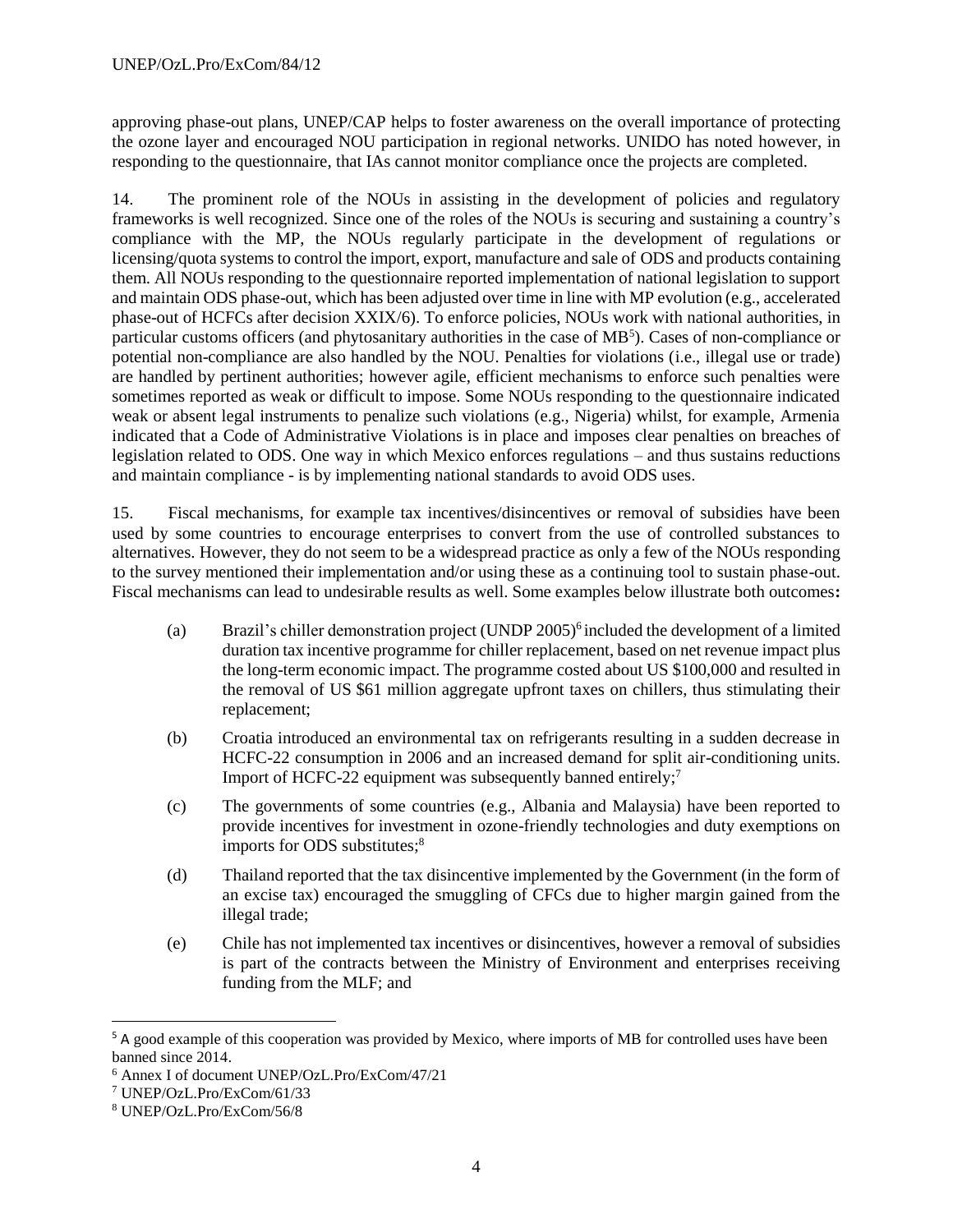approving phase-out plans, UNEP/CAP helps to foster awareness on the overall importance of protecting the ozone layer and encouraged NOU participation in regional networks. UNIDO has noted however, in responding to the questionnaire, that IAs cannot monitor compliance once the projects are completed.

14. The prominent role of the NOUs in assisting in the development of policies and regulatory frameworks is well recognized. Since one of the roles of the NOUs is securing and sustaining a country's compliance with the MP, the NOUs regularly participate in the development of regulations or licensing/quota systems to control the import, export, manufacture and sale of ODS and products containing them. All NOUs responding to the questionnaire reported implementation of national legislation to support and maintain ODS phase-out, which has been adjusted over time in line with MP evolution (e.g., accelerated phase-out of HCFCs after decision XXIX/6). To enforce policies, NOUs work with national authorities, in particular customs officers (and phytosanitary authorities in the case of MB<sup>5</sup>). Cases of non-compliance or potential non-compliance are also handled by the NOU. Penalties for violations (i.e., illegal use or trade) are handled by pertinent authorities; however agile, efficient mechanisms to enforce such penalties were sometimes reported as weak or difficult to impose. Some NOUs responding to the questionnaire indicated weak or absent legal instruments to penalize such violations (e.g., Nigeria) whilst, for example, Armenia indicated that a Code of Administrative Violations is in place and imposes clear penalties on breaches of legislation related to ODS. One way in which Mexico enforces regulations – and thus sustains reductions and maintain compliance - is by implementing national standards to avoid ODS uses.

15. Fiscal mechanisms, for example tax incentives/disincentives or removal of subsidies have been used by some countries to encourage enterprises to convert from the use of controlled substances to alternatives. However, they do not seem to be a widespread practice as only a few of the NOUs responding to the survey mentioned their implementation and/or using these as a continuing tool to sustain phase-out. Fiscal mechanisms can lead to undesirable results as well. Some examples below illustrate both outcomes**:**

- (a) Brazil's chiller demonstration project (UNDP 2005)<sup>6</sup> included the development of a limited duration tax incentive programme for chiller replacement, based on net revenue impact plus the long-term economic impact. The programme costed about US \$100,000 and resulted in the removal of US \$61 million aggregate upfront taxes on chillers, thus stimulating their replacement;
- (b) Croatia introduced an environmental tax on refrigerants resulting in a sudden decrease in HCFC-22 consumption in 2006 and an increased demand for split air-conditioning units. Import of HCFC-22 equipment was subsequently banned entirely;<sup>7</sup>
- (c) The governments of some countries (e.g., Albania and Malaysia) have been reported to provide incentives for investment in ozone-friendly technologies and duty exemptions on imports for ODS substitutes; 8
- (d) Thailand reported that the tax disincentive implemented by the Government (in the form of an excise tax) encouraged the smuggling of CFCs due to higher margin gained from the illegal trade;
- (e) Chile has not implemented tax incentives or disincentives, however a removal of subsidies is part of the contracts between the Ministry of Environment and enterprises receiving funding from the MLF; and

<sup>5</sup> A good example of this cooperation was provided by Mexico, where imports of MB for controlled uses have been banned since 2014.

<sup>6</sup> Annex I of document UNEP/OzL.Pro/ExCom/47/21

<sup>7</sup> UNEP/OzL.Pro/ExCom/61/33

<sup>8</sup> UNEP/OzL.Pro/ExCom/56/8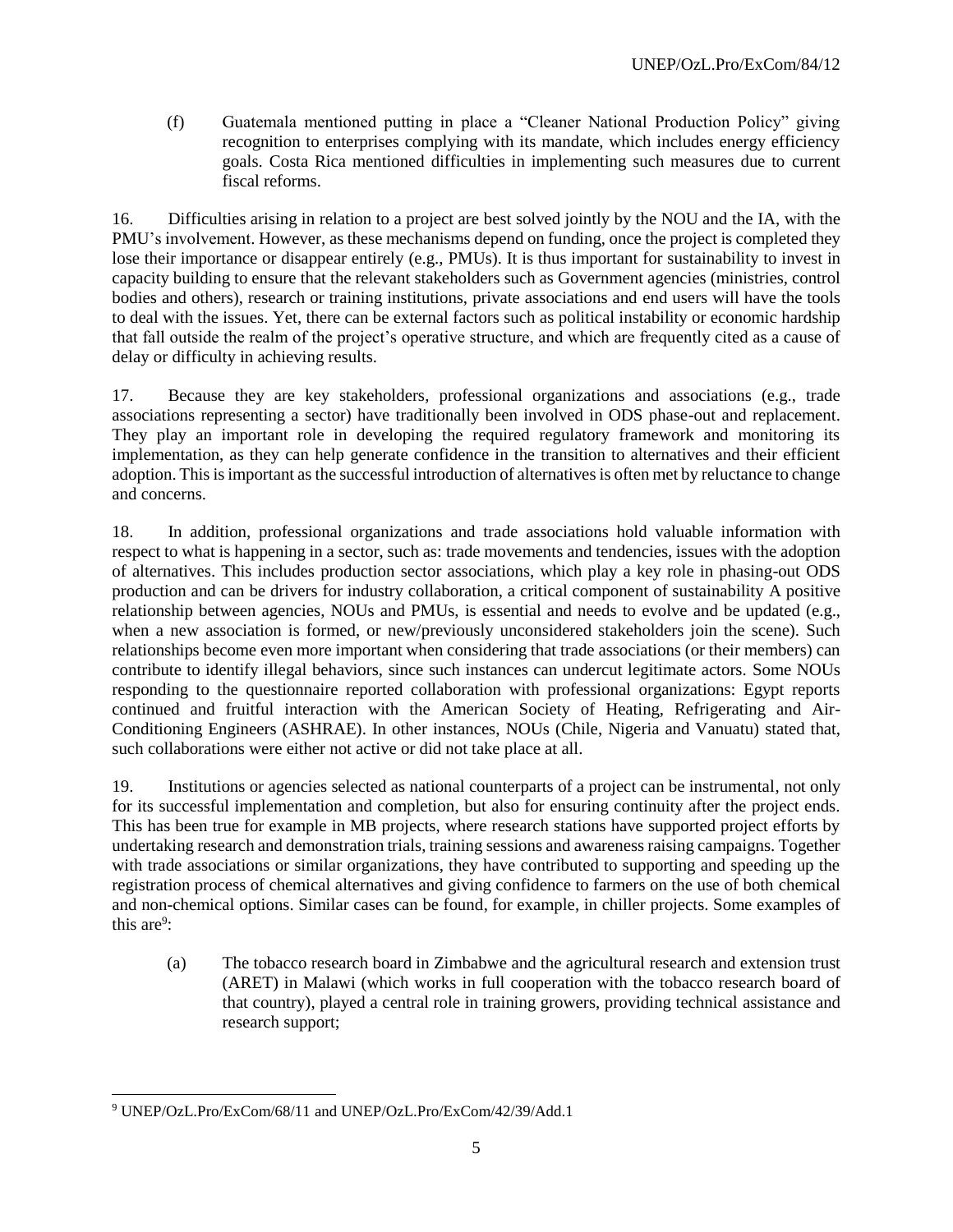(f) Guatemala mentioned putting in place a "Cleaner National Production Policy" giving recognition to enterprises complying with its mandate, which includes energy efficiency goals. Costa Rica mentioned difficulties in implementing such measures due to current fiscal reforms.

16. Difficulties arising in relation to a project are best solved jointly by the NOU and the IA, with the PMU's involvement. However, as these mechanisms depend on funding, once the project is completed they lose their importance or disappear entirely (e.g., PMUs). It is thus important for sustainability to invest in capacity building to ensure that the relevant stakeholders such as Government agencies (ministries, control bodies and others), research or training institutions, private associations and end users will have the tools to deal with the issues. Yet, there can be external factors such as political instability or economic hardship that fall outside the realm of the project's operative structure, and which are frequently cited as a cause of delay or difficulty in achieving results.

17. Because they are key stakeholders, professional organizations and associations (e.g., trade associations representing a sector) have traditionally been involved in ODS phase-out and replacement. They play an important role in developing the required regulatory framework and monitoring its implementation, as they can help generate confidence in the transition to alternatives and their efficient adoption. This is important as the successful introduction of alternatives is often met by reluctance to change and concerns.

18. In addition, professional organizations and trade associations hold valuable information with respect to what is happening in a sector, such as: trade movements and tendencies, issues with the adoption of alternatives. This includes production sector associations, which play a key role in phasing-out ODS production and can be drivers for industry collaboration, a critical component of sustainability A positive relationship between agencies, NOUs and PMUs, is essential and needs to evolve and be updated (e.g., when a new association is formed, or new/previously unconsidered stakeholders join the scene). Such relationships become even more important when considering that trade associations (or their members) can contribute to identify illegal behaviors, since such instances can undercut legitimate actors. Some NOUs responding to the questionnaire reported collaboration with professional organizations: Egypt reports continued and fruitful interaction with the American Society of Heating, Refrigerating and Air-Conditioning Engineers (ASHRAE). In other instances, NOUs (Chile, Nigeria and Vanuatu) stated that, such collaborations were either not active or did not take place at all.

19. Institutions or agencies selected as national counterparts of a project can be instrumental, not only for its successful implementation and completion, but also for ensuring continuity after the project ends. This has been true for example in MB projects, where research stations have supported project efforts by undertaking research and demonstration trials, training sessions and awareness raising campaigns. Together with trade associations or similar organizations, they have contributed to supporting and speeding up the registration process of chemical alternatives and giving confidence to farmers on the use of both chemical and non-chemical options. Similar cases can be found, for example, in chiller projects. Some examples of this are $9$ :

(a) The tobacco research board in Zimbabwe and the agricultural research and extension trust (ARET) in Malawi (which works in full cooperation with the tobacco research board of that country), played a central role in training growers, providing technical assistance and research support;

l <sup>9</sup> UNEP/OzL.Pro/ExCom/68/11 and UNEP/OzL.Pro/ExCom/42/39/Add.1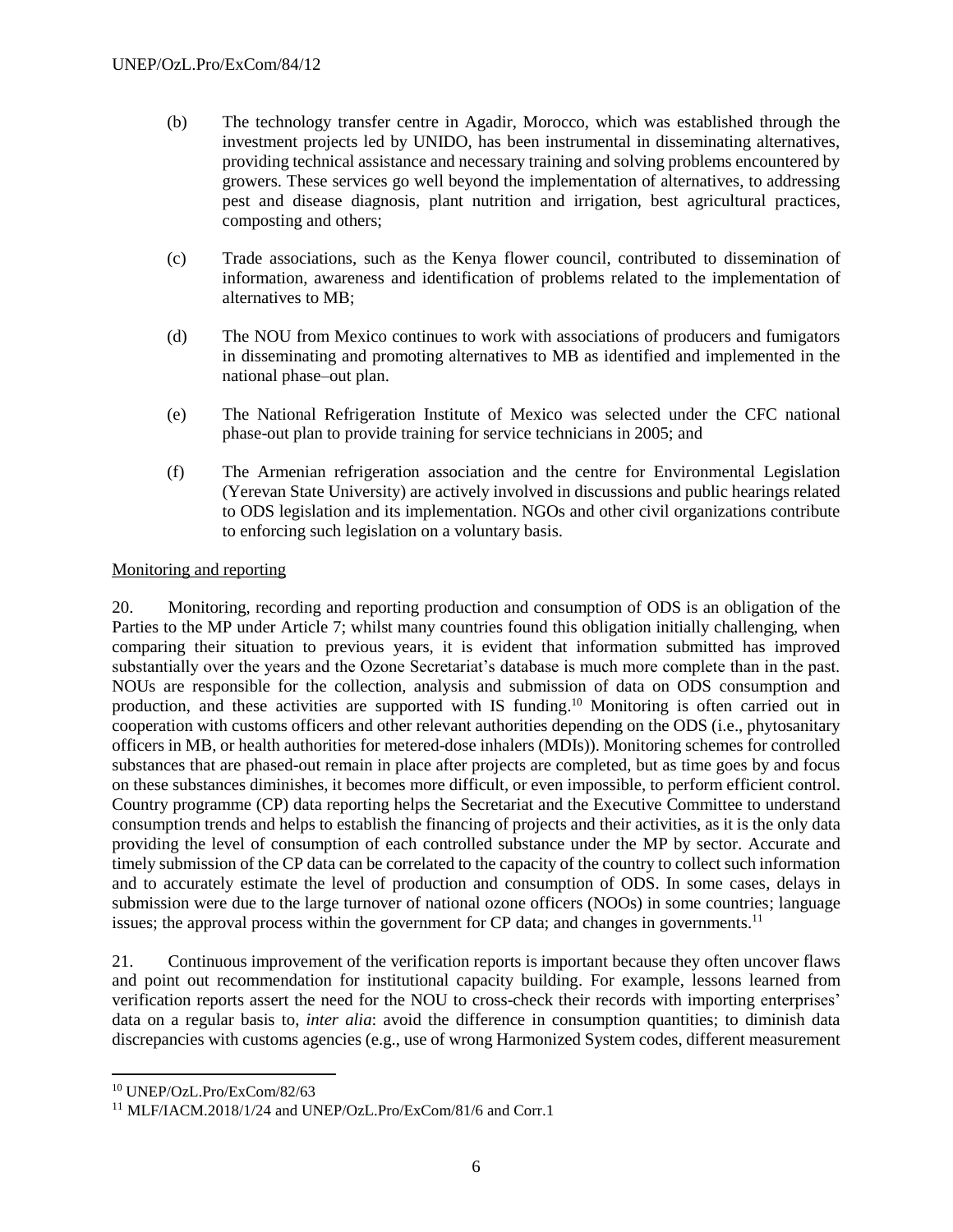- (b) The technology transfer centre in Agadir, Morocco, which was established through the investment projects led by UNIDO, has been instrumental in disseminating alternatives, providing technical assistance and necessary training and solving problems encountered by growers. These services go well beyond the implementation of alternatives, to addressing pest and disease diagnosis, plant nutrition and irrigation, best agricultural practices, composting and others;
- (c) Trade associations, such as the Kenya flower council, contributed to dissemination of information, awareness and identification of problems related to the implementation of alternatives to MB;
- (d) The NOU from Mexico continues to work with associations of producers and fumigators in disseminating and promoting alternatives to MB as identified and implemented in the national phase–out plan.
- (e) The National Refrigeration Institute of Mexico was selected under the CFC national phase-out plan to provide training for service technicians in 2005; and
- (f) The Armenian refrigeration association and the centre for Environmental Legislation (Yerevan State University) are actively involved in discussions and public hearings related to ODS legislation and its implementation. NGOs and other civil organizations contribute to enforcing such legislation on a voluntary basis.

## Monitoring and reporting

20. Monitoring, recording and reporting production and consumption of ODS is an obligation of the Parties to the MP under Article 7; whilst many countries found this obligation initially challenging, when comparing their situation to previous years, it is evident that information submitted has improved substantially over the years and the Ozone Secretariat's database is much more complete than in the past. NOUs are responsible for the collection, analysis and submission of data on ODS consumption and production, and these activities are supported with IS funding.<sup>10</sup> Monitoring is often carried out in cooperation with customs officers and other relevant authorities depending on the ODS (i.e., phytosanitary officers in MB, or health authorities for metered-dose inhalers (MDIs)). Monitoring schemes for controlled substances that are phased-out remain in place after projects are completed, but as time goes by and focus on these substances diminishes, it becomes more difficult, or even impossible, to perform efficient control. Country programme (CP) data reporting helps the Secretariat and the Executive Committee to understand consumption trends and helps to establish the financing of projects and their activities, as it is the only data providing the level of consumption of each controlled substance under the MP by sector. Accurate and timely submission of the CP data can be correlated to the capacity of the country to collect such information and to accurately estimate the level of production and consumption of ODS. In some cases, delays in submission were due to the large turnover of national ozone officers (NOOs) in some countries; language issues; the approval process within the government for CP data; and changes in governments.<sup>11</sup>

21. Continuous improvement of the verification reports is important because they often uncover flaws and point out recommendation for institutional capacity building. For example, lessons learned from verification reports assert the need for the NOU to cross-check their records with importing enterprises' data on a regular basis to, *inter alia*: avoid the difference in consumption quantities; to diminish data discrepancies with customs agencies (e.g., use of wrong Harmonized System codes, different measurement

<sup>10</sup> UNEP/OzL.Pro/ExCom/82/63

<sup>11</sup> MLF/IACM.2018/1/24 and UNEP/OzL.Pro/ExCom/81/6 and Corr.1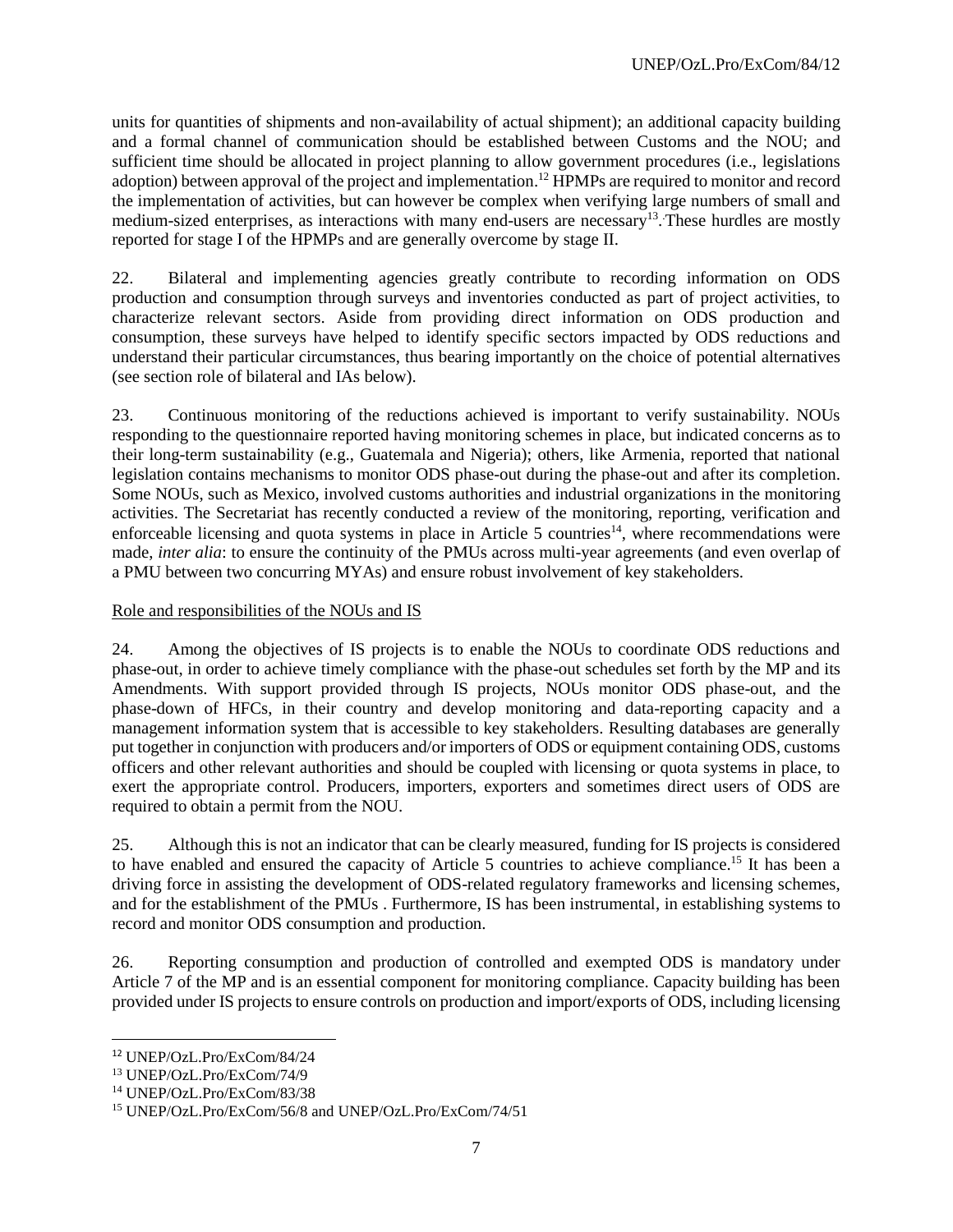units for quantities of shipments and non-availability of actual shipment); an additional capacity building and a formal channel of communication should be established between Customs and the NOU; and sufficient time should be allocated in project planning to allow government procedures (i.e., legislations adoption) between approval of the project and implementation.<sup>12</sup> HPMPs are required to monitor and record the implementation of activities, but can however be complex when verifying large numbers of small and medium-sized enterprises, as interactions with many end-users are necessary<sup>13</sup>. These hurdles are mostly reported for stage I of the HPMPs and are generally overcome by stage II.

22. Bilateral and implementing agencies greatly contribute to recording information on ODS production and consumption through surveys and inventories conducted as part of project activities, to characterize relevant sectors. Aside from providing direct information on ODS production and consumption, these surveys have helped to identify specific sectors impacted by ODS reductions and understand their particular circumstances, thus bearing importantly on the choice of potential alternatives (see section role of bilateral and IAs below).

23. Continuous monitoring of the reductions achieved is important to verify sustainability. NOUs responding to the questionnaire reported having monitoring schemes in place, but indicated concerns as to their long-term sustainability (e.g., Guatemala and Nigeria); others, like Armenia, reported that national legislation contains mechanisms to monitor ODS phase-out during the phase-out and after its completion. Some NOUs, such as Mexico, involved customs authorities and industrial organizations in the monitoring activities. The Secretariat has recently conducted a review of the monitoring, reporting, verification and enforceable licensing and quota systems in place in Article 5 countries<sup>14</sup>, where recommendations were made, *inter alia*: to ensure the continuity of the PMUs across multi-year agreements (and even overlap of a PMU between two concurring MYAs) and ensure robust involvement of key stakeholders.

## Role and responsibilities of the NOUs and IS

24. Among the objectives of IS projects is to enable the NOUs to coordinate ODS reductions and phase-out, in order to achieve timely compliance with the phase-out schedules set forth by the MP and its Amendments. With support provided through IS projects, NOUs monitor ODS phase-out, and the phase-down of HFCs, in their country and develop monitoring and data-reporting capacity and a management information system that is accessible to key stakeholders. Resulting databases are generally put together in conjunction with producers and/or importers of ODS or equipment containing ODS, customs officers and other relevant authorities and should be coupled with licensing or quota systems in place, to exert the appropriate control. Producers, importers, exporters and sometimes direct users of ODS are required to obtain a permit from the NOU.

25. Although this is not an indicator that can be clearly measured, funding for IS projects is considered to have enabled and ensured the capacity of Article 5 countries to achieve compliance.<sup>15</sup> It has been a driving force in assisting the development of ODS-related regulatory frameworks and licensing schemes, and for the establishment of the PMUs . Furthermore, IS has been instrumental, in establishing systems to record and monitor ODS consumption and production.

26. Reporting consumption and production of controlled and exempted ODS is mandatory under Article 7 of the MP and is an essential component for monitoring compliance. Capacity building has been provided under IS projects to ensure controls on production and import/exports of ODS, including licensing

<sup>12</sup> UNEP/OzL.Pro/ExCom/84/24

<sup>13</sup> UNEP/OzL.Pro/ExCom/74/9

<sup>14</sup> UNEP/OzL.Pro/ExCom/83/38

<sup>15</sup> UNEP/OzL.Pro/ExCom/56/8 and UNEP/OzL.Pro/ExCom/74/51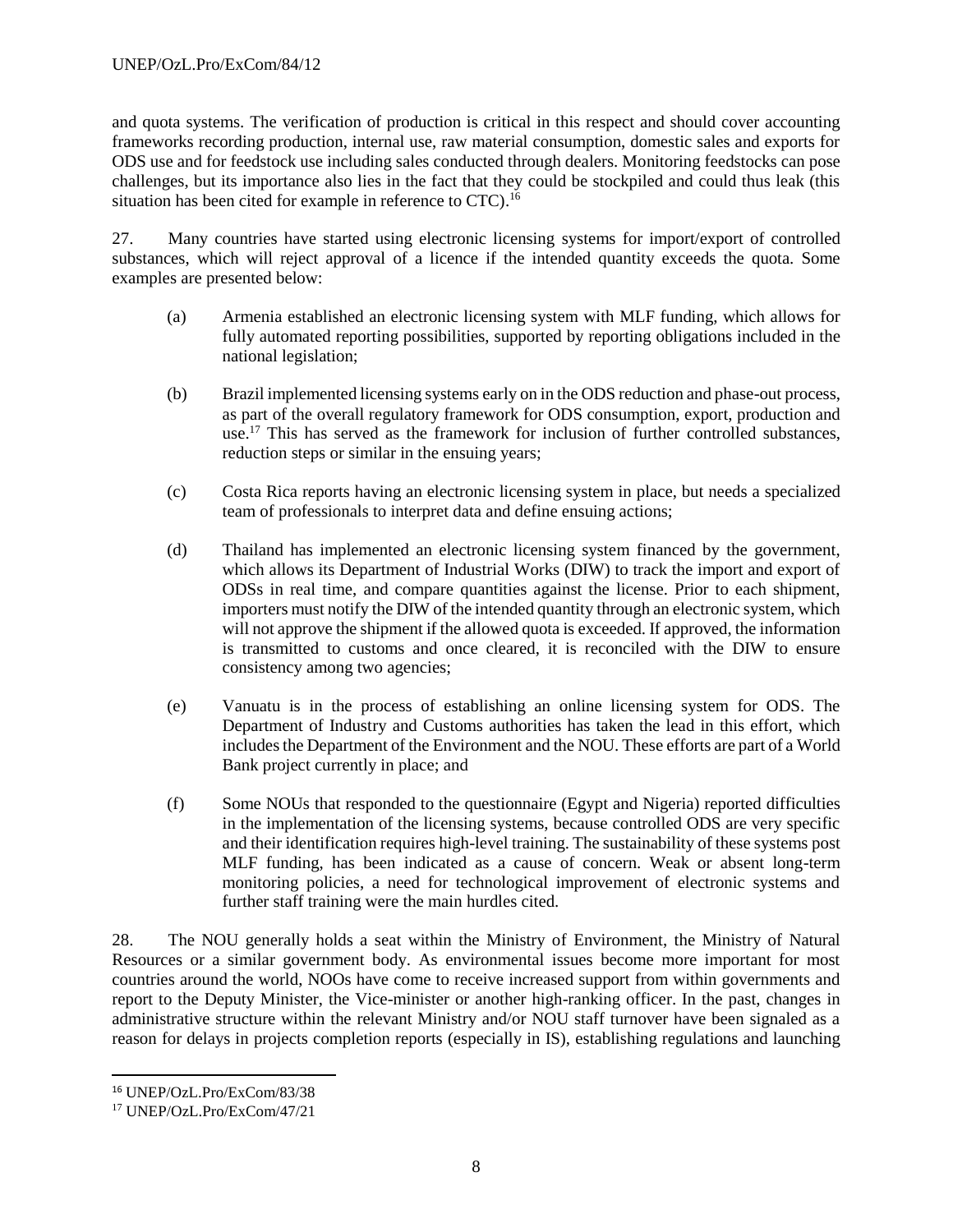and quota systems. The verification of production is critical in this respect and should cover accounting frameworks recording production, internal use, raw material consumption, domestic sales and exports for ODS use and for feedstock use including sales conducted through dealers. Monitoring feedstocks can pose challenges, but its importance also lies in the fact that they could be stockpiled and could thus leak (this situation has been cited for example in reference to CTC).<sup>16</sup>

27. Many countries have started using electronic licensing systems for import/export of controlled substances, which will reject approval of a licence if the intended quantity exceeds the quota. Some examples are presented below:

- (a) Armenia established an electronic licensing system with MLF funding, which allows for fully automated reporting possibilities, supported by reporting obligations included in the national legislation;
- (b) Brazil implemented licensing systems early on in the ODS reduction and phase-out process, as part of the overall regulatory framework for ODS consumption, export, production and use. <sup>17</sup> This has served as the framework for inclusion of further controlled substances, reduction steps or similar in the ensuing years;
- (c) Costa Rica reports having an electronic licensing system in place, but needs a specialized team of professionals to interpret data and define ensuing actions;
- (d) Thailand has implemented an electronic licensing system financed by the government, which allows its Department of Industrial Works (DIW) to track the import and export of ODSs in real time, and compare quantities against the license. Prior to each shipment, importers must notify the DIW of the intended quantity through an electronic system, which will not approve the shipment if the allowed quota is exceeded. If approved, the information is transmitted to customs and once cleared, it is reconciled with the DIW to ensure consistency among two agencies;
- (e) Vanuatu is in the process of establishing an online licensing system for ODS. The Department of Industry and Customs authorities has taken the lead in this effort, which includes the Department of the Environment and the NOU. These efforts are part of a World Bank project currently in place; and
- (f) Some NOUs that responded to the questionnaire (Egypt and Nigeria) reported difficulties in the implementation of the licensing systems, because controlled ODS are very specific and their identification requires high-level training. The sustainability of these systems post MLF funding, has been indicated as a cause of concern. Weak or absent long-term monitoring policies, a need for technological improvement of electronic systems and further staff training were the main hurdles cited.

28. The NOU generally holds a seat within the Ministry of Environment, the Ministry of Natural Resources or a similar government body. As environmental issues become more important for most countries around the world, NOOs have come to receive increased support from within governments and report to the Deputy Minister, the Vice-minister or another high-ranking officer. In the past, changes in administrative structure within the relevant Ministry and/or NOU staff turnover have been signaled as a reason for delays in projects completion reports (especially in IS), establishing regulations and launching

<sup>16</sup> UNEP/OzL.Pro/ExCom/83/38

<sup>17</sup> UNEP/OzL.Pro/ExCom/47/21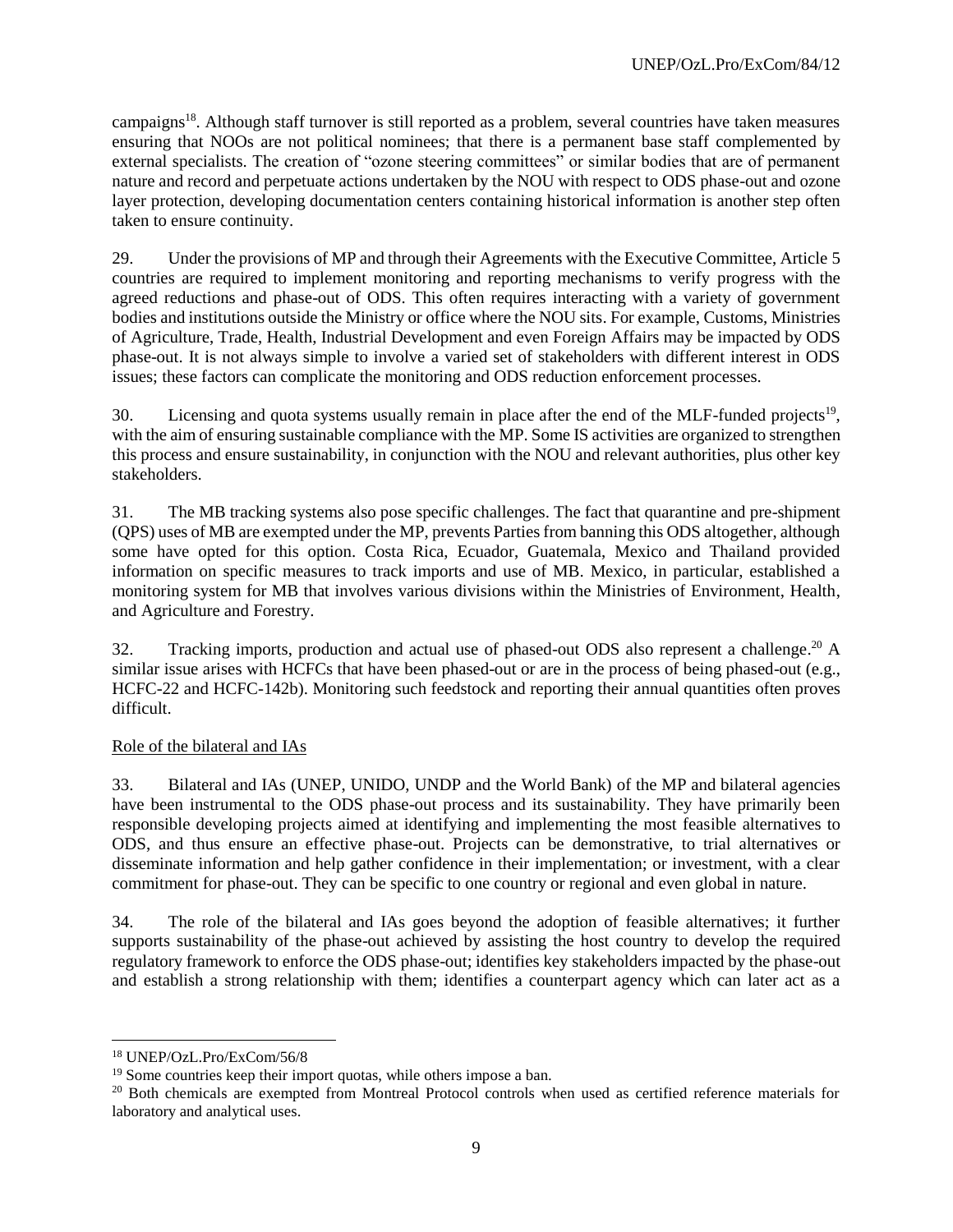campaigns<sup>18</sup>. Although staff turnover is still reported as a problem, several countries have taken measures ensuring that NOOs are not political nominees; that there is a permanent base staff complemented by external specialists. The creation of "ozone steering committees" or similar bodies that are of permanent nature and record and perpetuate actions undertaken by the NOU with respect to ODS phase-out and ozone layer protection, developing documentation centers containing historical information is another step often taken to ensure continuity.

29. Under the provisions of MP and through their Agreements with the Executive Committee, Article 5 countries are required to implement monitoring and reporting mechanisms to verify progress with the agreed reductions and phase-out of ODS. This often requires interacting with a variety of government bodies and institutions outside the Ministry or office where the NOU sits. For example, Customs, Ministries of Agriculture, Trade, Health, Industrial Development and even Foreign Affairs may be impacted by ODS phase-out. It is not always simple to involve a varied set of stakeholders with different interest in ODS issues; these factors can complicate the monitoring and ODS reduction enforcement processes.

30. Licensing and quota systems usually remain in place after the end of the MLF-funded projects<sup>19</sup>, with the aim of ensuring sustainable compliance with the MP. Some IS activities are organized to strengthen this process and ensure sustainability, in conjunction with the NOU and relevant authorities, plus other key stakeholders.

31. The MB tracking systems also pose specific challenges. The fact that quarantine and pre-shipment (QPS) uses of MB are exempted under the MP, prevents Parties from banning this ODS altogether, although some have opted for this option. Costa Rica, Ecuador, Guatemala, Mexico and Thailand provided information on specific measures to track imports and use of MB. Mexico, in particular, established a monitoring system for MB that involves various divisions within the Ministries of Environment, Health, and Agriculture and Forestry.

32. Tracking imports, production and actual use of phased-out ODS also represent a challenge.<sup>20</sup> A similar issue arises with HCFCs that have been phased-out or are in the process of being phased-out (e.g., HCFC-22 and HCFC-142b). Monitoring such feedstock and reporting their annual quantities often proves difficult.

#### Role of the bilateral and IAs

33. Bilateral and IAs (UNEP, UNIDO, UNDP and the World Bank) of the MP and bilateral agencies have been instrumental to the ODS phase-out process and its sustainability. They have primarily been responsible developing projects aimed at identifying and implementing the most feasible alternatives to ODS, and thus ensure an effective phase-out. Projects can be demonstrative, to trial alternatives or disseminate information and help gather confidence in their implementation; or investment, with a clear commitment for phase-out. They can be specific to one country or regional and even global in nature.

34. The role of the bilateral and IAs goes beyond the adoption of feasible alternatives; it further supports sustainability of the phase-out achieved by assisting the host country to develop the required regulatory framework to enforce the ODS phase-out; identifies key stakeholders impacted by the phase-out and establish a strong relationship with them; identifies a counterpart agency which can later act as a

 $\overline{a}$ 

<sup>18</sup> UNEP/OzL.Pro/ExCom/56/8

<sup>&</sup>lt;sup>19</sup> Some countries keep their import quotas, while others impose a ban.

<sup>&</sup>lt;sup>20</sup> Both chemicals are exempted from Montreal Protocol controls when used as certified reference materials for laboratory and analytical uses.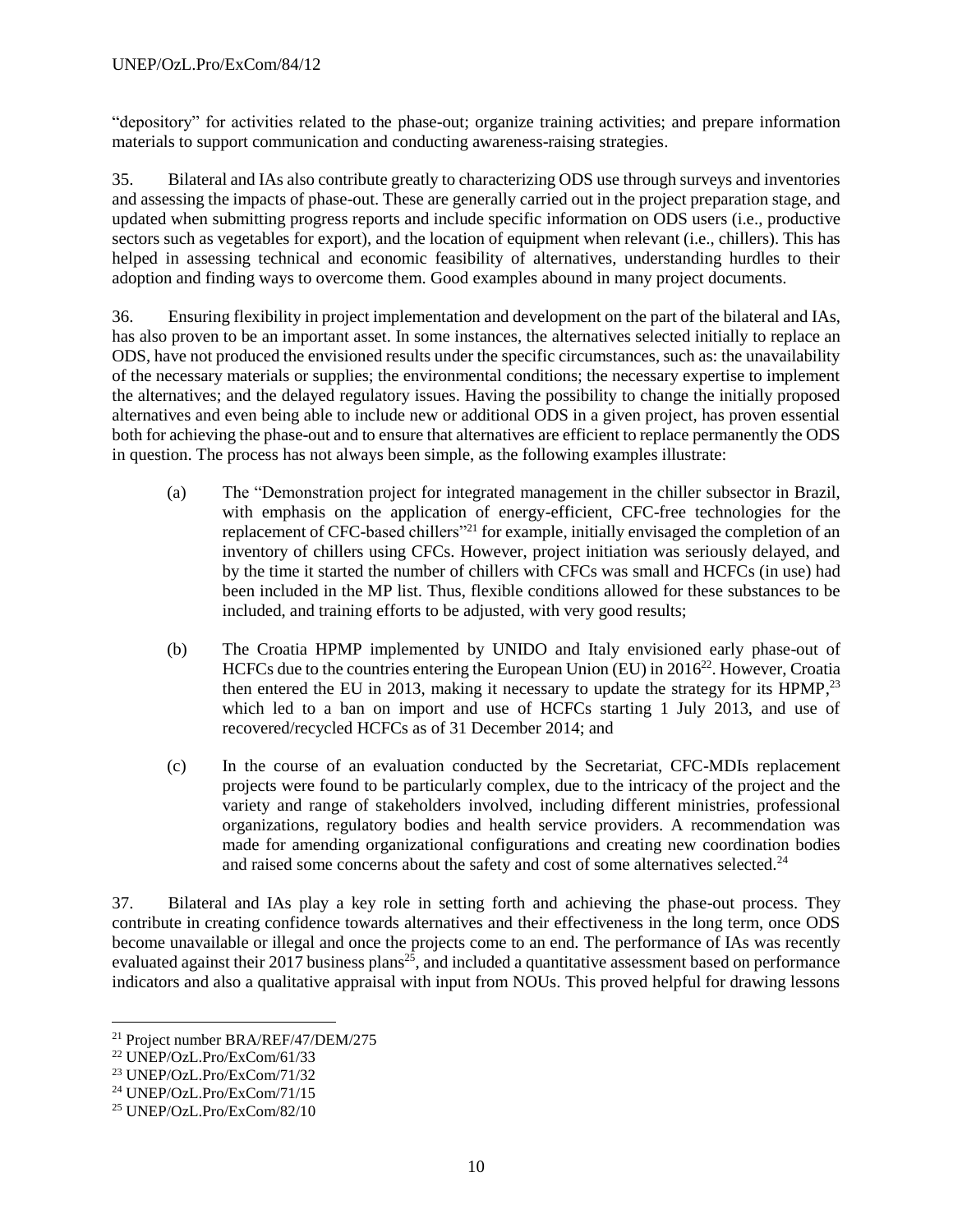"depository" for activities related to the phase-out; organize training activities; and prepare information materials to support communication and conducting awareness-raising strategies.

35. Bilateral and IAs also contribute greatly to characterizing ODS use through surveys and inventories and assessing the impacts of phase-out. These are generally carried out in the project preparation stage, and updated when submitting progress reports and include specific information on ODS users (i.e., productive sectors such as vegetables for export), and the location of equipment when relevant (i.e., chillers). This has helped in assessing technical and economic feasibility of alternatives, understanding hurdles to their adoption and finding ways to overcome them. Good examples abound in many project documents.

36. Ensuring flexibility in project implementation and development on the part of the bilateral and IAs, has also proven to be an important asset. In some instances, the alternatives selected initially to replace an ODS, have not produced the envisioned results under the specific circumstances, such as: the unavailability of the necessary materials or supplies; the environmental conditions; the necessary expertise to implement the alternatives; and the delayed regulatory issues. Having the possibility to change the initially proposed alternatives and even being able to include new or additional ODS in a given project, has proven essential both for achieving the phase-out and to ensure that alternatives are efficient to replace permanently the ODS in question. The process has not always been simple, as the following examples illustrate:

- (a) The "Demonstration project for integrated management in the chiller subsector in Brazil, with emphasis on the application of energy-efficient, CFC-free technologies for the replacement of CFC-based chillers<sup>"21</sup> for example, initially envisaged the completion of an inventory of chillers using CFCs. However, project initiation was seriously delayed, and by the time it started the number of chillers with CFCs was small and HCFCs (in use) had been included in the MP list. Thus, flexible conditions allowed for these substances to be included, and training efforts to be adjusted, with very good results;
- (b) The Croatia HPMP implemented by UNIDO and Italy envisioned early phase-out of HCFCs due to the countries entering the European Union (EU) in 2016<sup>22</sup>. However, Croatia then entered the EU in 2013, making it necessary to update the strategy for its HPMP, $^{23}$ which led to a ban on import and use of HCFCs starting 1 July 2013, and use of recovered/recycled HCFCs as of 31 December 2014; and
- (c) In the course of an evaluation conducted by the Secretariat, CFC-MDIs replacement projects were found to be particularly complex, due to the intricacy of the project and the variety and range of stakeholders involved, including different ministries, professional organizations, regulatory bodies and health service providers. A recommendation was made for amending organizational configurations and creating new coordination bodies and raised some concerns about the safety and cost of some alternatives selected.<sup>24</sup>

37. Bilateral and IAs play a key role in setting forth and achieving the phase-out process. They contribute in creating confidence towards alternatives and their effectiveness in the long term, once ODS become unavailable or illegal and once the projects come to an end. The performance of IAs was recently evaluated against their 2017 business plans<sup>25</sup>, and included a quantitative assessment based on performance indicators and also a qualitative appraisal with input from NOUs. This proved helpful for drawing lessons

<sup>21</sup> Project number BRA/REF/47/DEM/275

<sup>22</sup> UNEP/OzL.Pro/ExCom/61/33

<sup>23</sup> UNEP/OzL.Pro/ExCom/71/32

<sup>24</sup> UNEP/OzL.Pro/ExCom/71/15

<sup>25</sup> UNEP/OzL.Pro/ExCom/82/10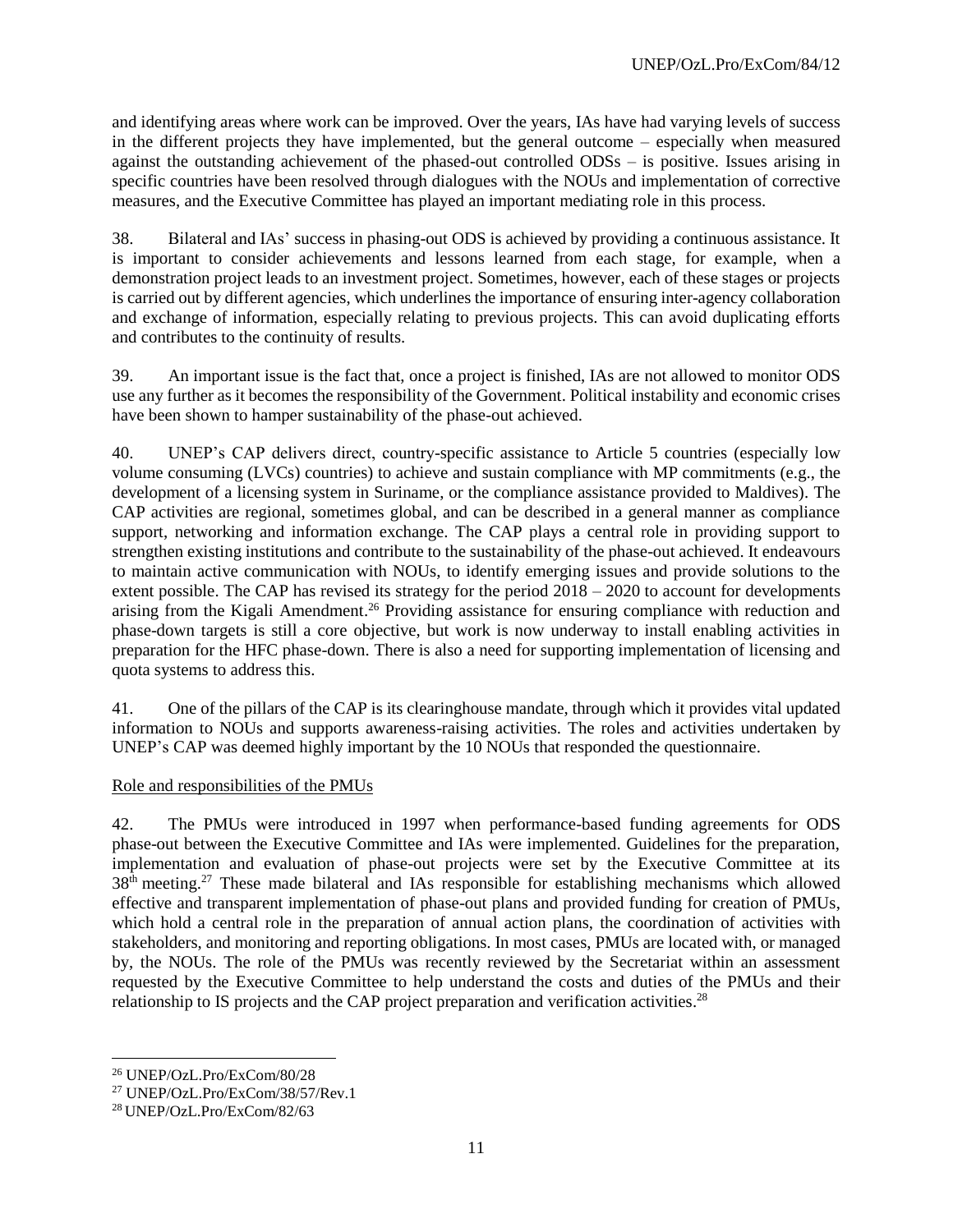and identifying areas where work can be improved. Over the years, IAs have had varying levels of success in the different projects they have implemented, but the general outcome – especially when measured against the outstanding achievement of the phased-out controlled ODSs – is positive. Issues arising in specific countries have been resolved through dialogues with the NOUs and implementation of corrective measures, and the Executive Committee has played an important mediating role in this process.

38. Bilateral and IAs' success in phasing-out ODS is achieved by providing a continuous assistance. It is important to consider achievements and lessons learned from each stage, for example, when a demonstration project leads to an investment project. Sometimes, however, each of these stages or projects is carried out by different agencies, which underlines the importance of ensuring inter-agency collaboration and exchange of information, especially relating to previous projects. This can avoid duplicating efforts and contributes to the continuity of results.

39. An important issue is the fact that, once a project is finished, IAs are not allowed to monitor ODS use any further as it becomes the responsibility of the Government. Political instability and economic crises have been shown to hamper sustainability of the phase-out achieved.

40. UNEP's CAP delivers direct, country-specific assistance to Article 5 countries (especially low volume consuming (LVCs) countries) to achieve and sustain compliance with MP commitments (e.g., the development of a licensing system in Suriname, or the compliance assistance provided to Maldives). The CAP activities are regional, sometimes global, and can be described in a general manner as compliance support, networking and information exchange. The CAP plays a central role in providing support to strengthen existing institutions and contribute to the sustainability of the phase-out achieved. It endeavours to maintain active communication with NOUs, to identify emerging issues and provide solutions to the extent possible. The CAP has revised its strategy for the period 2018 – 2020 to account for developments arising from the Kigali Amendment.<sup>26</sup> Providing assistance for ensuring compliance with reduction and phase-down targets is still a core objective, but work is now underway to install enabling activities in preparation for the HFC phase-down. There is also a need for supporting implementation of licensing and quota systems to address this.

41. One of the pillars of the CAP is its clearinghouse mandate, through which it provides vital updated information to NOUs and supports awareness-raising activities. The roles and activities undertaken by UNEP's CAP was deemed highly important by the 10 NOUs that responded the questionnaire.

#### Role and responsibilities of the PMUs

42. The PMUs were introduced in 1997 when performance-based funding agreements for ODS phase-out between the Executive Committee and IAs were implemented. Guidelines for the preparation, implementation and evaluation of phase-out projects were set by the Executive Committee at its 38<sup>th</sup> meeting.<sup>27</sup> These made bilateral and IAs responsible for establishing mechanisms which allowed effective and transparent implementation of phase-out plans and provided funding for creation of PMUs, which hold a central role in the preparation of annual action plans, the coordination of activities with stakeholders, and monitoring and reporting obligations. In most cases, PMUs are located with, or managed by, the NOUs. The role of the PMUs was recently reviewed by the Secretariat within an assessment requested by the Executive Committee to help understand the costs and duties of the PMUs and their relationship to IS projects and the CAP project preparation and verification activities.<sup>28</sup>

<sup>26</sup> UNEP/OzL.Pro/ExCom/80/28

<sup>27</sup> UNEP/OzL.Pro/ExCom/38/57/Rev.1

<sup>28</sup> UNEP/OzL.Pro/ExCom/82/63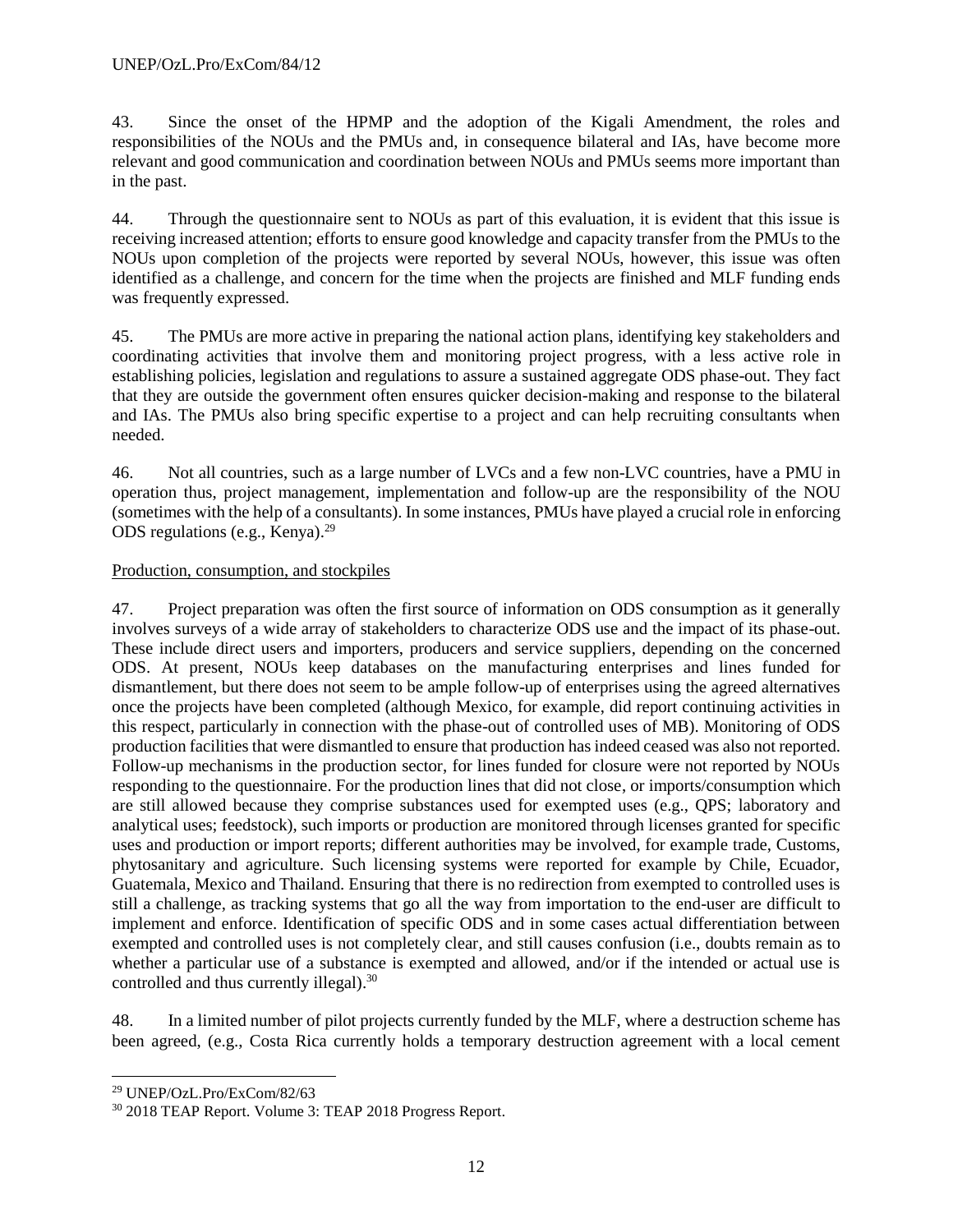43. Since the onset of the HPMP and the adoption of the Kigali Amendment, the roles and responsibilities of the NOUs and the PMUs and, in consequence bilateral and IAs, have become more relevant and good communication and coordination between NOUs and PMUs seems more important than in the past.

44. Through the questionnaire sent to NOUs as part of this evaluation, it is evident that this issue is receiving increased attention; efforts to ensure good knowledge and capacity transfer from the PMUs to the NOUs upon completion of the projects were reported by several NOUs, however, this issue was often identified as a challenge, and concern for the time when the projects are finished and MLF funding ends was frequently expressed.

45. The PMUs are more active in preparing the national action plans, identifying key stakeholders and coordinating activities that involve them and monitoring project progress, with a less active role in establishing policies, legislation and regulations to assure a sustained aggregate ODS phase-out. They fact that they are outside the government often ensures quicker decision-making and response to the bilateral and IAs. The PMUs also bring specific expertise to a project and can help recruiting consultants when needed.

46. Not all countries, such as a large number of LVCs and a few non-LVC countries, have a PMU in operation thus, project management, implementation and follow-up are the responsibility of the NOU (sometimes with the help of a consultants). In some instances, PMUs have played a crucial role in enforcing ODS regulations (e.g., Kenya). 29

# Production, consumption, and stockpiles

47. Project preparation was often the first source of information on ODS consumption as it generally involves surveys of a wide array of stakeholders to characterize ODS use and the impact of its phase-out. These include direct users and importers, producers and service suppliers, depending on the concerned ODS. At present, NOUs keep databases on the manufacturing enterprises and lines funded for dismantlement, but there does not seem to be ample follow-up of enterprises using the agreed alternatives once the projects have been completed (although Mexico, for example, did report continuing activities in this respect, particularly in connection with the phase-out of controlled uses of MB). Monitoring of ODS production facilities that were dismantled to ensure that production has indeed ceased was also not reported. Follow-up mechanisms in the production sector, for lines funded for closure were not reported by NOUs responding to the questionnaire. For the production lines that did not close, or imports/consumption which are still allowed because they comprise substances used for exempted uses (e.g., QPS; laboratory and analytical uses; feedstock), such imports or production are monitored through licenses granted for specific uses and production or import reports; different authorities may be involved, for example trade, Customs, phytosanitary and agriculture. Such licensing systems were reported for example by Chile, Ecuador, Guatemala, Mexico and Thailand. Ensuring that there is no redirection from exempted to controlled uses is still a challenge, as tracking systems that go all the way from importation to the end-user are difficult to implement and enforce. Identification of specific ODS and in some cases actual differentiation between exempted and controlled uses is not completely clear, and still causes confusion (i.e., doubts remain as to whether a particular use of a substance is exempted and allowed, and/or if the intended or actual use is controlled and thus currently illegal).<sup>30</sup>

48. In a limited number of pilot projects currently funded by the MLF, where a destruction scheme has been agreed, (e.g., Costa Rica currently holds a temporary destruction agreement with a local cement

l <sup>29</sup> UNEP/OzL.Pro/ExCom/82/63

<sup>30</sup> 2018 TEAP Report. Volume 3: TEAP 2018 Progress Report.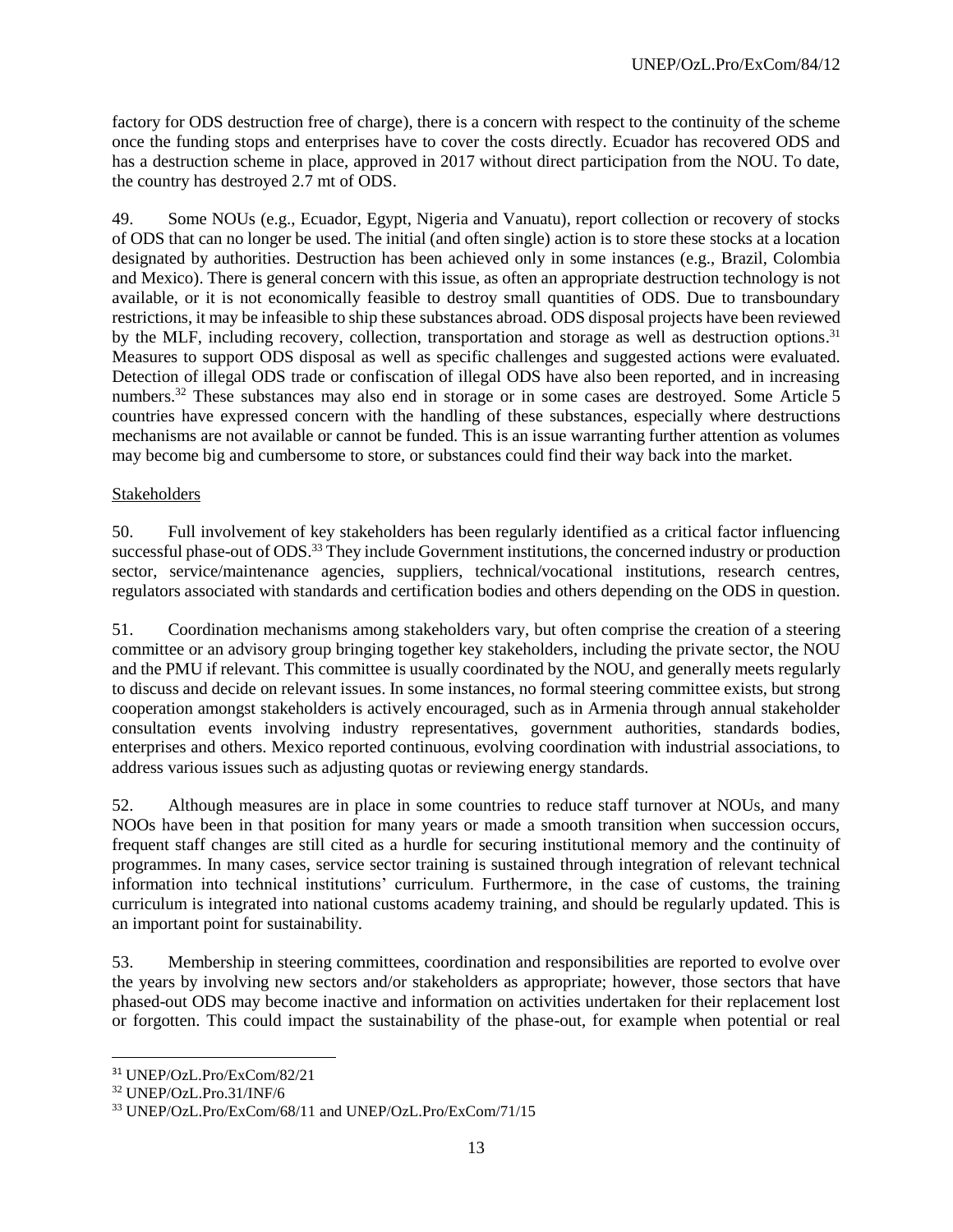factory for ODS destruction free of charge), there is a concern with respect to the continuity of the scheme once the funding stops and enterprises have to cover the costs directly. Ecuador has recovered ODS and has a destruction scheme in place, approved in 2017 without direct participation from the NOU. To date, the country has destroyed 2.7 mt of ODS.

49. Some NOUs (e.g., Ecuador, Egypt, Nigeria and Vanuatu), report collection or recovery of stocks of ODS that can no longer be used. The initial (and often single) action is to store these stocks at a location designated by authorities. Destruction has been achieved only in some instances (e.g., Brazil, Colombia and Mexico). There is general concern with this issue, as often an appropriate destruction technology is not available, or it is not economically feasible to destroy small quantities of ODS. Due to transboundary restrictions, it may be infeasible to ship these substances abroad. ODS disposal projects have been reviewed by the MLF, including recovery, collection, transportation and storage as well as destruction options.<sup>31</sup> Measures to support ODS disposal as well as specific challenges and suggested actions were evaluated. Detection of illegal ODS trade or confiscation of illegal ODS have also been reported, and in increasing numbers.<sup>32</sup> These substances may also end in storage or in some cases are destroyed. Some Article 5 countries have expressed concern with the handling of these substances, especially where destructions mechanisms are not available or cannot be funded. This is an issue warranting further attention as volumes may become big and cumbersome to store, or substances could find their way back into the market.

## Stakeholders

50. Full involvement of key stakeholders has been regularly identified as a critical factor influencing successful phase-out of ODS.<sup>33</sup> They include Government institutions, the concerned industry or production sector, service/maintenance agencies, suppliers, technical/vocational institutions, research centres, regulators associated with standards and certification bodies and others depending on the ODS in question.

51. Coordination mechanisms among stakeholders vary, but often comprise the creation of a steering committee or an advisory group bringing together key stakeholders, including the private sector, the NOU and the PMU if relevant. This committee is usually coordinated by the NOU, and generally meets regularly to discuss and decide on relevant issues. In some instances, no formal steering committee exists, but strong cooperation amongst stakeholders is actively encouraged, such as in Armenia through annual stakeholder consultation events involving industry representatives, government authorities, standards bodies, enterprises and others. Mexico reported continuous, evolving coordination with industrial associations, to address various issues such as adjusting quotas or reviewing energy standards.

52. Although measures are in place in some countries to reduce staff turnover at NOUs, and many NOOs have been in that position for many years or made a smooth transition when succession occurs, frequent staff changes are still cited as a hurdle for securing institutional memory and the continuity of programmes. In many cases, service sector training is sustained through integration of relevant technical information into technical institutions' curriculum. Furthermore, in the case of customs, the training curriculum is integrated into national customs academy training, and should be regularly updated. This is an important point for sustainability.

53. Membership in steering committees, coordination and responsibilities are reported to evolve over the years by involving new sectors and/or stakeholders as appropriate; however, those sectors that have phased-out ODS may become inactive and information on activities undertaken for their replacement lost or forgotten. This could impact the sustainability of the phase-out, for example when potential or real

<sup>31</sup> UNEP/OzL.Pro/ExCom/82/21

<sup>32</sup> UNEP/OzL.Pro.31/INF/6

<sup>33</sup> UNEP/OzL.Pro/ExCom/68/11 and UNEP/OzL.Pro/ExCom/71/15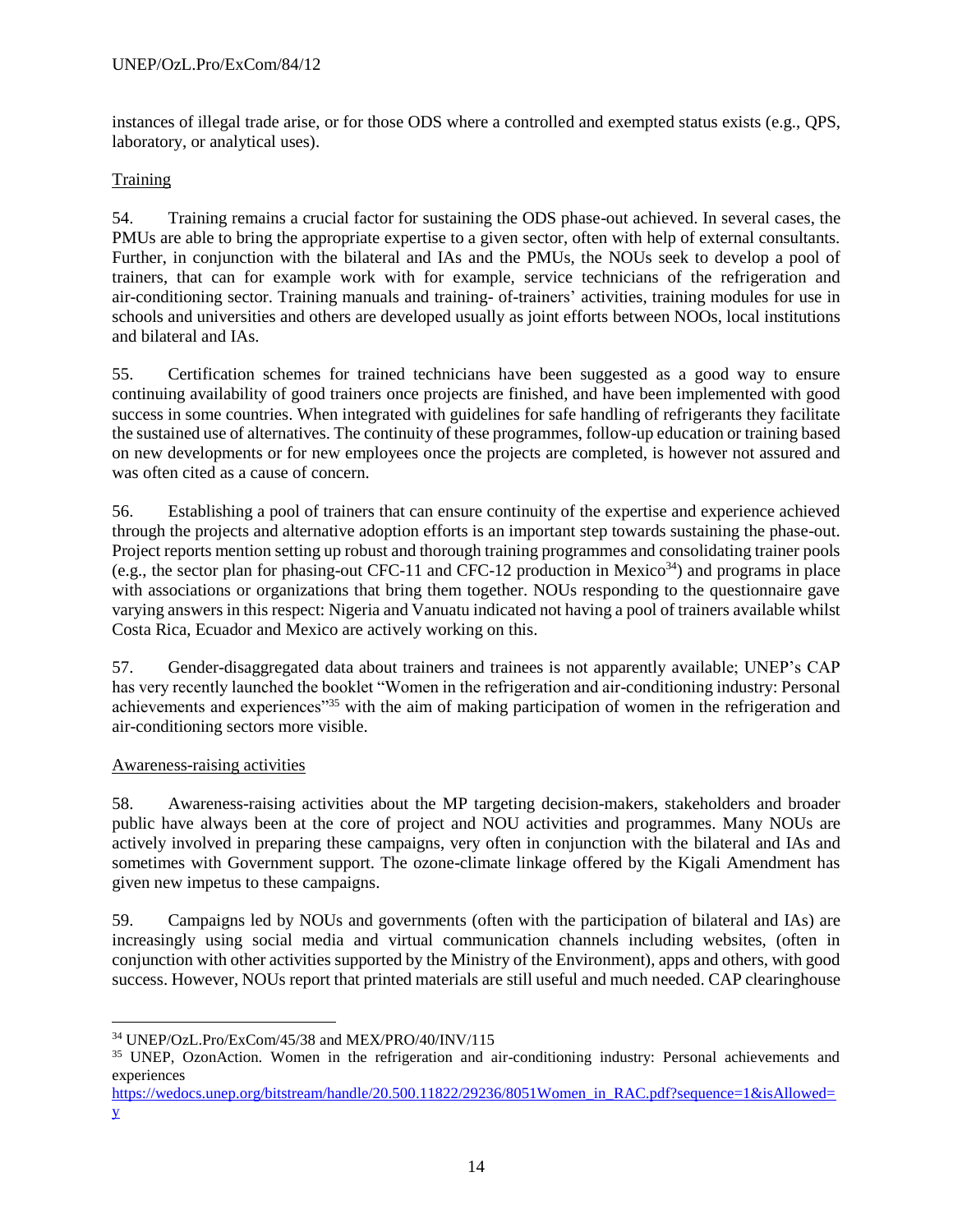instances of illegal trade arise, or for those ODS where a controlled and exempted status exists (e.g., QPS, laboratory, or analytical uses).

# **Training**

54. Training remains a crucial factor for sustaining the ODS phase-out achieved. In several cases, the PMUs are able to bring the appropriate expertise to a given sector, often with help of external consultants. Further, in conjunction with the bilateral and IAs and the PMUs, the NOUs seek to develop a pool of trainers, that can for example work with for example, service technicians of the refrigeration and air-conditioning sector. Training manuals and training- of-trainers' activities, training modules for use in schools and universities and others are developed usually as joint efforts between NOOs, local institutions and bilateral and IAs.

55. Certification schemes for trained technicians have been suggested as a good way to ensure continuing availability of good trainers once projects are finished, and have been implemented with good success in some countries. When integrated with guidelines for safe handling of refrigerants they facilitate the sustained use of alternatives. The continuity of these programmes, follow-up education or training based on new developments or for new employees once the projects are completed, is however not assured and was often cited as a cause of concern.

56. Establishing a pool of trainers that can ensure continuity of the expertise and experience achieved through the projects and alternative adoption efforts is an important step towards sustaining the phase-out. Project reports mention setting up robust and thorough training programmes and consolidating trainer pools (e.g., the sector plan for phasing-out CFC-11 and CFC-12 production in Mexico<sup>34</sup>) and programs in place with associations or organizations that bring them together. NOUs responding to the questionnaire gave varying answers in this respect: Nigeria and Vanuatu indicated not having a pool of trainers available whilst Costa Rica, Ecuador and Mexico are actively working on this.

57. Gender-disaggregated data about trainers and trainees is not apparently available; UNEP's CAP has very recently launched the booklet "Women in the refrigeration and air-conditioning industry: Personal achievements and experiences<sup>"35</sup> with the aim of making participation of women in the refrigeration and air-conditioning sectors more visible.

# Awareness-raising activities

58. Awareness-raising activities about the MP targeting decision-makers, stakeholders and broader public have always been at the core of project and NOU activities and programmes. Many NOUs are actively involved in preparing these campaigns, very often in conjunction with the bilateral and IAs and sometimes with Government support. The ozone-climate linkage offered by the Kigali Amendment has given new impetus to these campaigns.

59. Campaigns led by NOUs and governments (often with the participation of bilateral and IAs) are increasingly using social media and virtual communication channels including websites, (often in conjunction with other activities supported by the Ministry of the Environment), apps and others, with good success. However, NOUs report that printed materials are still useful and much needed. CAP clearinghouse

[https://wedocs.unep.org/bitstream/handle/20.500.11822/29236/8051Women\\_in\\_RAC.pdf?sequence=1&isAllowed=](https://wedocs.unep.org/bitstream/handle/20.500.11822/29236/8051Women_in_RAC.pdf?sequence=1&isAllowed=y) [y](https://wedocs.unep.org/bitstream/handle/20.500.11822/29236/8051Women_in_RAC.pdf?sequence=1&isAllowed=y)

l <sup>34</sup> UNEP/OzL.Pro/ExCom/45/38 and MEX/PRO/40/INV/115

<sup>&</sup>lt;sup>35</sup> UNEP, OzonAction. Women in the refrigeration and air-conditioning industry: Personal achievements and experiences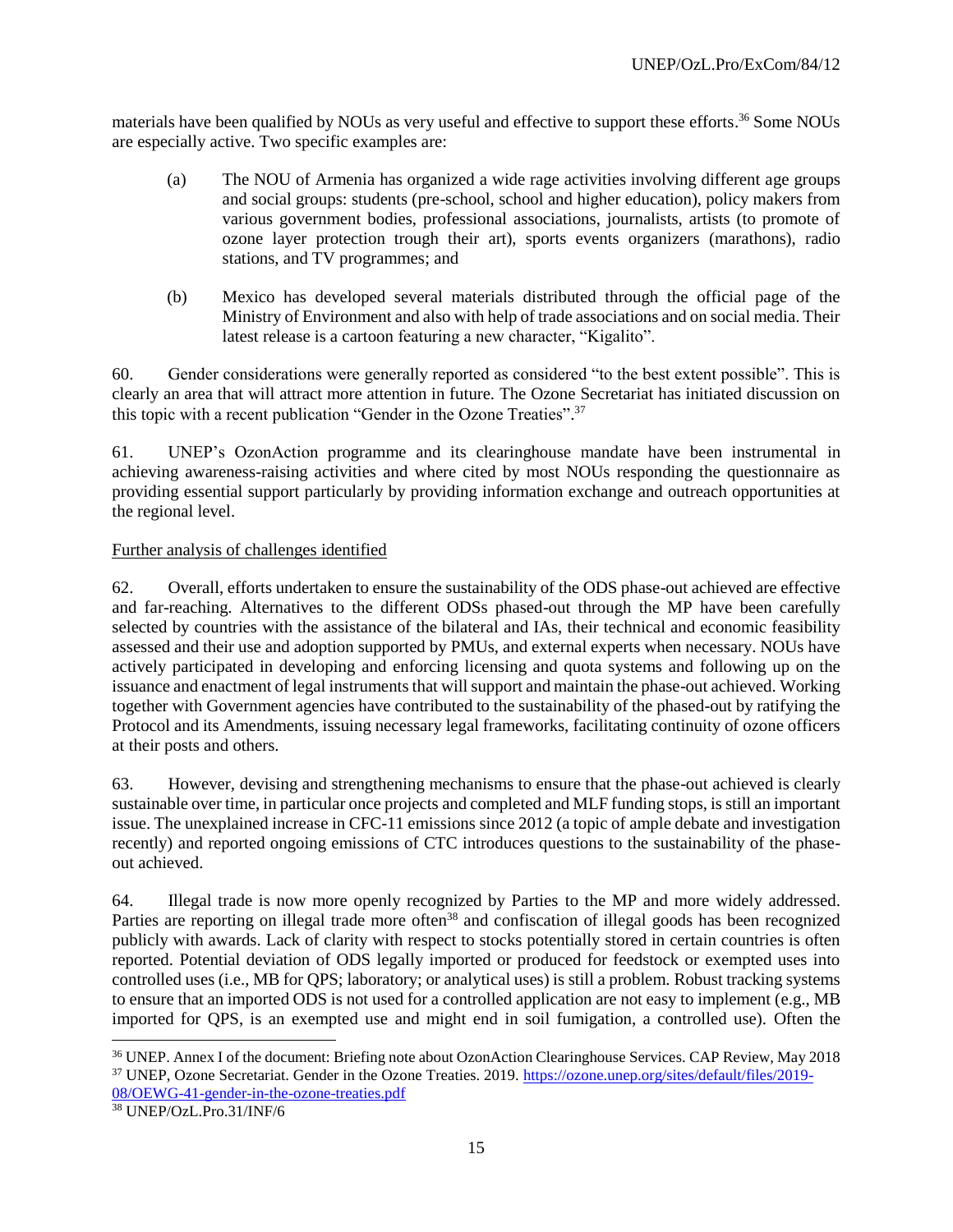materials have been qualified by NOUs as very useful and effective to support these efforts.<sup>36</sup> Some NOUs are especially active. Two specific examples are:

- (a) The NOU of Armenia has organized a wide rage activities involving different age groups and social groups: students (pre-school, school and higher education), policy makers from various government bodies, professional associations, journalists, artists (to promote of ozone layer protection trough their art), sports events organizers (marathons), radio stations, and TV programmes; and
- (b) Mexico has developed several materials distributed through the official page of the Ministry of Environment and also with help of trade associations and on social media. Their latest release is a cartoon featuring a new character, "Kigalito".

60. Gender considerations were generally reported as considered "to the best extent possible". This is clearly an area that will attract more attention in future. The Ozone Secretariat has initiated discussion on this topic with a recent publication "Gender in the Ozone Treaties".<sup>37</sup>

61. UNEP's OzonAction programme and its clearinghouse mandate have been instrumental in achieving awareness-raising activities and where cited by most NOUs responding the questionnaire as providing essential support particularly by providing information exchange and outreach opportunities at the regional level.

## Further analysis of challenges identified

62. Overall, efforts undertaken to ensure the sustainability of the ODS phase-out achieved are effective and far-reaching. Alternatives to the different ODSs phased-out through the MP have been carefully selected by countries with the assistance of the bilateral and IAs, their technical and economic feasibility assessed and their use and adoption supported by PMUs, and external experts when necessary. NOUs have actively participated in developing and enforcing licensing and quota systems and following up on the issuance and enactment of legal instruments that will support and maintain the phase-out achieved. Working together with Government agencies have contributed to the sustainability of the phased-out by ratifying the Protocol and its Amendments, issuing necessary legal frameworks, facilitating continuity of ozone officers at their posts and others.

63. However, devising and strengthening mechanisms to ensure that the phase-out achieved is clearly sustainable over time, in particular once projects and completed and MLF funding stops, is still an important issue. The unexplained increase in CFC-11 emissions since 2012 (a topic of ample debate and investigation recently) and reported ongoing emissions of CTC introduces questions to the sustainability of the phaseout achieved.

64. Illegal trade is now more openly recognized by Parties to the MP and more widely addressed. Parties are reporting on illegal trade more often<sup>38</sup> and confiscation of illegal goods has been recognized publicly with awards. Lack of clarity with respect to stocks potentially stored in certain countries is often reported. Potential deviation of ODS legally imported or produced for feedstock or exempted uses into controlled uses (i.e., MB for QPS; laboratory; or analytical uses) is still a problem. Robust tracking systems to ensure that an imported ODS is not used for a controlled application are not easy to implement (e.g., MB imported for QPS, is an exempted use and might end in soil fumigation, a controlled use). Often the

 $\overline{a}$ 

<sup>36</sup> UNEP. Annex I of the document: Briefing note about OzonAction Clearinghouse Services. CAP Review, May 2018 <sup>37</sup> UNEP, Ozone Secretariat. Gender in the Ozone Treaties. 2019. [https://ozone.unep.org/sites/default/files/2019-](https://ozone.unep.org/sites/default/files/2019-08/OEWG-41-gender-in-the-ozone-treaties.pdf) [08/OEWG-41-gender-in-the-ozone-treaties.pdf](https://ozone.unep.org/sites/default/files/2019-08/OEWG-41-gender-in-the-ozone-treaties.pdf)

<sup>38</sup> UNEP/OzL.Pro.31/INF/6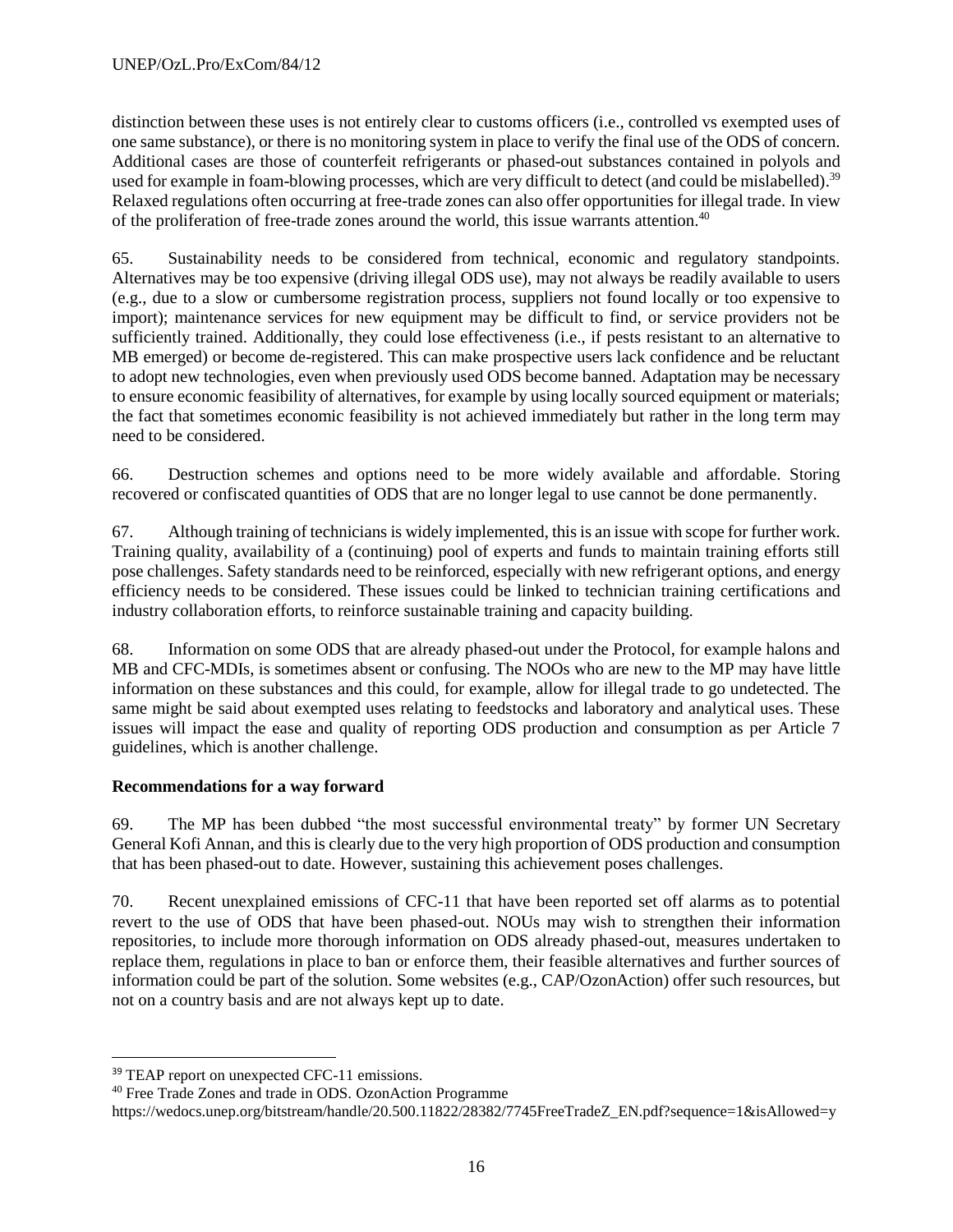distinction between these uses is not entirely clear to customs officers (i.e., controlled vs exempted uses of one same substance), or there is no monitoring system in place to verify the final use of the ODS of concern. Additional cases are those of counterfeit refrigerants or phased-out substances contained in polyols and used for example in foam-blowing processes, which are very difficult to detect (and could be mislabelled).<sup>39</sup> Relaxed regulations often occurring at free-trade zones can also offer opportunities for illegal trade. In view of the proliferation of free-trade zones around the world, this issue warrants attention. 40

65. Sustainability needs to be considered from technical, economic and regulatory standpoints. Alternatives may be too expensive (driving illegal ODS use), may not always be readily available to users (e.g., due to a slow or cumbersome registration process, suppliers not found locally or too expensive to import); maintenance services for new equipment may be difficult to find, or service providers not be sufficiently trained. Additionally, they could lose effectiveness (i.e., if pests resistant to an alternative to MB emerged) or become de-registered. This can make prospective users lack confidence and be reluctant to adopt new technologies, even when previously used ODS become banned. Adaptation may be necessary to ensure economic feasibility of alternatives, for example by using locally sourced equipment or materials; the fact that sometimes economic feasibility is not achieved immediately but rather in the long term may need to be considered.

66. Destruction schemes and options need to be more widely available and affordable. Storing recovered or confiscated quantities of ODS that are no longer legal to use cannot be done permanently.

67. Although training of technicians is widely implemented, this is an issue with scope for further work. Training quality, availability of a (continuing) pool of experts and funds to maintain training efforts still pose challenges. Safety standards need to be reinforced, especially with new refrigerant options, and energy efficiency needs to be considered. These issues could be linked to technician training certifications and industry collaboration efforts, to reinforce sustainable training and capacity building.

68. Information on some ODS that are already phased-out under the Protocol, for example halons and MB and CFC-MDIs, is sometimes absent or confusing. The NOOs who are new to the MP may have little information on these substances and this could, for example, allow for illegal trade to go undetected. The same might be said about exempted uses relating to feedstocks and laboratory and analytical uses. These issues will impact the ease and quality of reporting ODS production and consumption as per Article 7 guidelines, which is another challenge.

# **Recommendations for a way forward**

69. The MP has been dubbed "the most successful environmental treaty" by former UN Secretary General Kofi Annan, and this is clearly due to the very high proportion of ODS production and consumption that has been phased-out to date. However, sustaining this achievement poses challenges.

70. Recent unexplained emissions of CFC-11 that have been reported set off alarms as to potential revert to the use of ODS that have been phased-out. NOUs may wish to strengthen their information repositories, to include more thorough information on ODS already phased-out, measures undertaken to replace them, regulations in place to ban or enforce them, their feasible alternatives and further sources of information could be part of the solution. Some websites (e.g., CAP/OzonAction) offer such resources, but not on a country basis and are not always kept up to date.

<sup>39</sup> TEAP report on unexpected CFC-11 emissions.

<sup>40</sup> Free Trade Zones and trade in ODS. OzonAction Programme

https://wedocs.unep.org/bitstream/handle/20.500.11822/28382/7745FreeTradeZ\_EN.pdf?sequence=1&isAllowed=y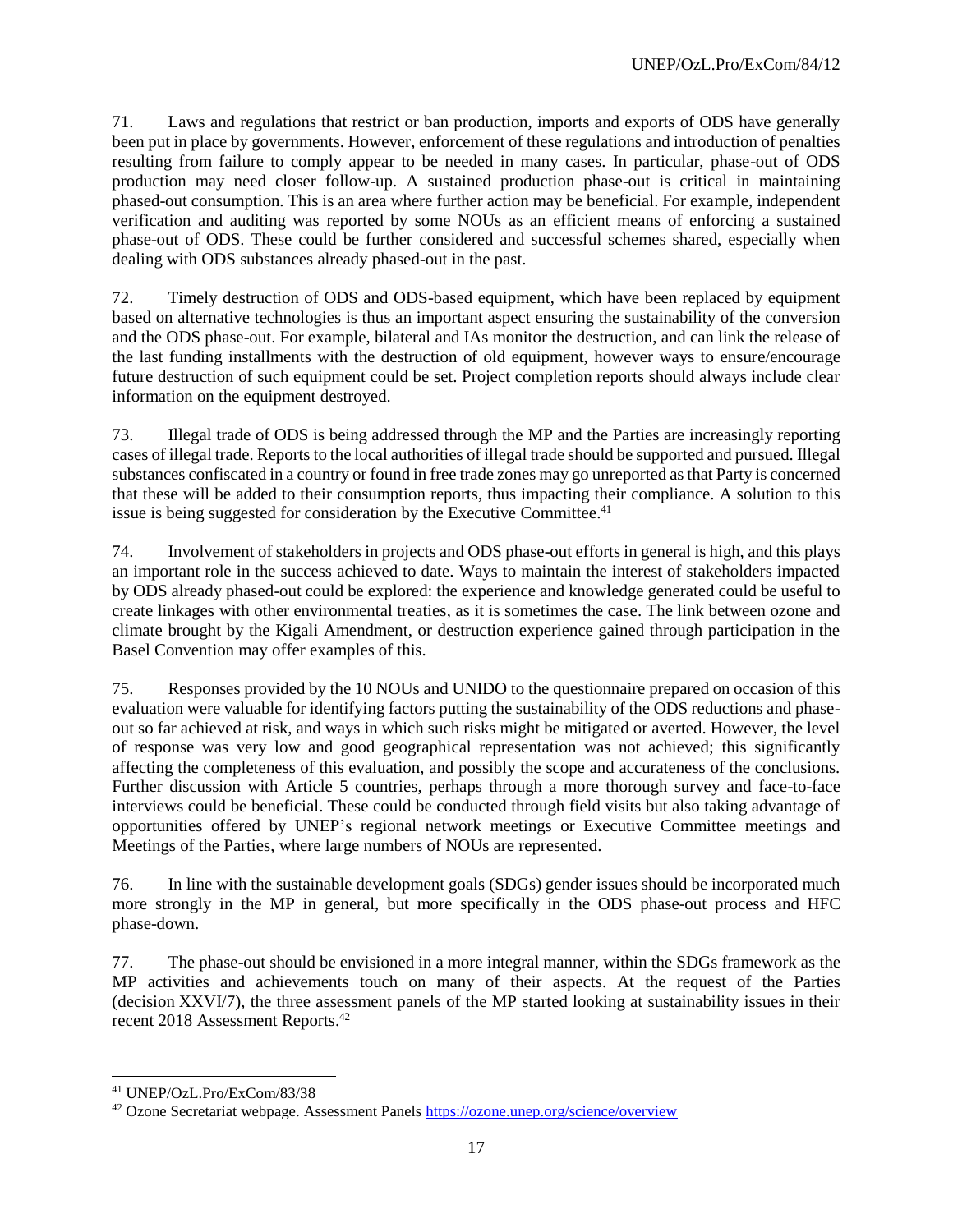71. Laws and regulations that restrict or ban production, imports and exports of ODS have generally been put in place by governments. However, enforcement of these regulations and introduction of penalties resulting from failure to comply appear to be needed in many cases. In particular, phase-out of ODS production may need closer follow-up. A sustained production phase-out is critical in maintaining phased-out consumption. This is an area where further action may be beneficial. For example, independent verification and auditing was reported by some NOUs as an efficient means of enforcing a sustained phase-out of ODS. These could be further considered and successful schemes shared, especially when dealing with ODS substances already phased-out in the past.

72. Timely destruction of ODS and ODS-based equipment, which have been replaced by equipment based on alternative technologies is thus an important aspect ensuring the sustainability of the conversion and the ODS phase-out. For example, bilateral and IAs monitor the destruction, and can link the release of the last funding installments with the destruction of old equipment, however ways to ensure/encourage future destruction of such equipment could be set. Project completion reports should always include clear information on the equipment destroyed.

73. Illegal trade of ODS is being addressed through the MP and the Parties are increasingly reporting cases of illegal trade. Reports to the local authorities of illegal trade should be supported and pursued. Illegal substances confiscated in a country or found in free trade zones may go unreported as that Party is concerned that these will be added to their consumption reports, thus impacting their compliance. A solution to this issue is being suggested for consideration by the Executive Committee.<sup>41</sup>

74. Involvement of stakeholders in projects and ODS phase-out efforts in general is high, and this plays an important role in the success achieved to date. Ways to maintain the interest of stakeholders impacted by ODS already phased-out could be explored: the experience and knowledge generated could be useful to create linkages with other environmental treaties, as it is sometimes the case. The link between ozone and climate brought by the Kigali Amendment, or destruction experience gained through participation in the Basel Convention may offer examples of this.

75. Responses provided by the 10 NOUs and UNIDO to the questionnaire prepared on occasion of this evaluation were valuable for identifying factors putting the sustainability of the ODS reductions and phaseout so far achieved at risk, and ways in which such risks might be mitigated or averted. However, the level of response was very low and good geographical representation was not achieved; this significantly affecting the completeness of this evaluation, and possibly the scope and accurateness of the conclusions. Further discussion with Article 5 countries, perhaps through a more thorough survey and face-to-face interviews could be beneficial. These could be conducted through field visits but also taking advantage of opportunities offered by UNEP's regional network meetings or Executive Committee meetings and Meetings of the Parties, where large numbers of NOUs are represented.

76. In line with the sustainable development goals (SDGs) gender issues should be incorporated much more strongly in the MP in general, but more specifically in the ODS phase-out process and HFC phase-down.

77. The phase-out should be envisioned in a more integral manner, within the SDGs framework as the MP activities and achievements touch on many of their aspects. At the request of the Parties (decision XXVI/7), the three assessment panels of the MP started looking at sustainability issues in their recent 2018 Assessment Reports.<sup>42</sup>

<sup>41</sup> UNEP/OzL.Pro/ExCom/83/38

<sup>42</sup> Ozone Secretariat webpage. Assessment Panel[s https://ozone.unep.org/science/overview](https://ozone.unep.org/science/overview)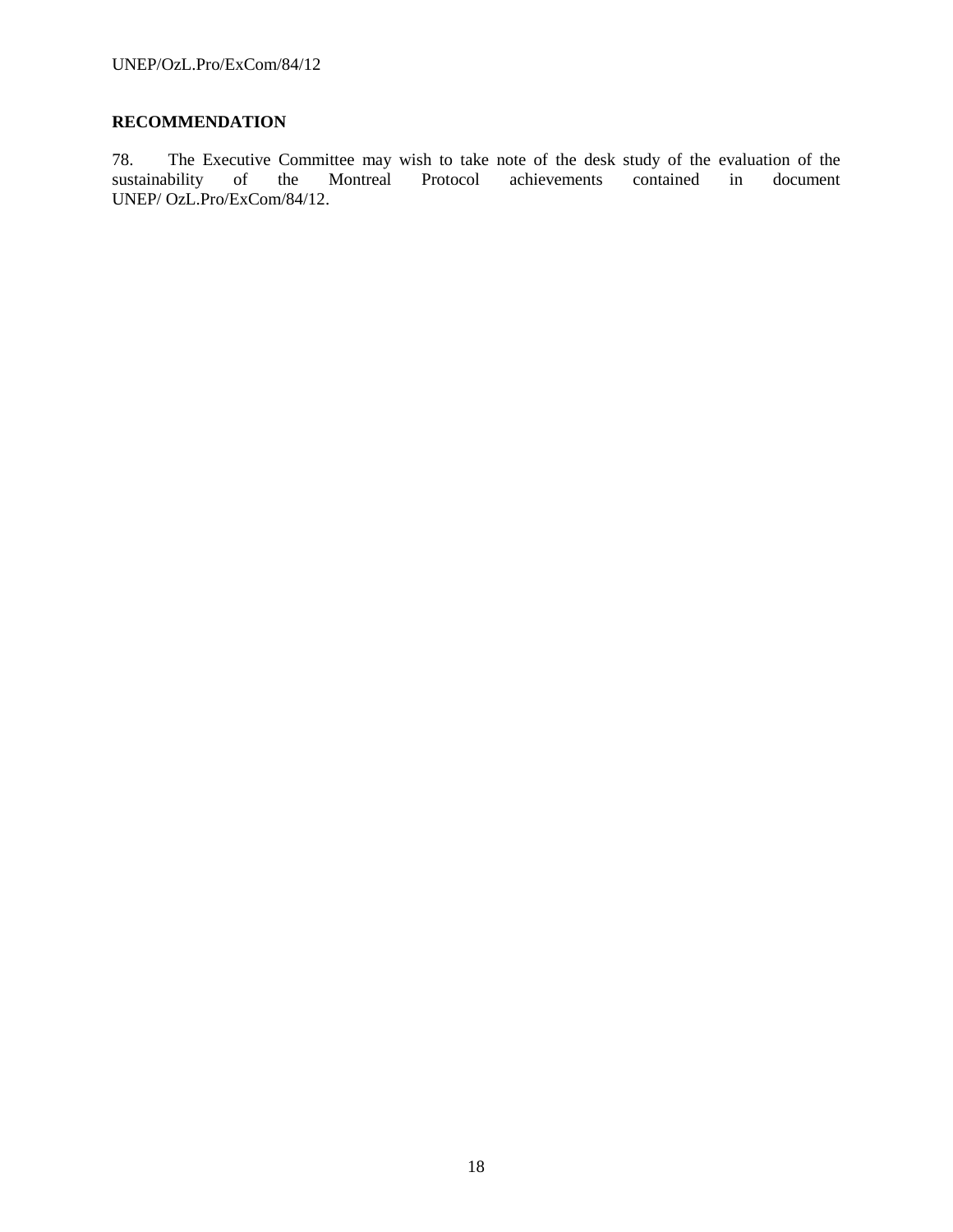# **RECOMMENDATION**

78. The Executive Committee may wish to take note of the desk study of the evaluation of the sustainability of the Montreal Protocol achievements contained in document UNEP/ OzL.Pro/ExCom/84/12.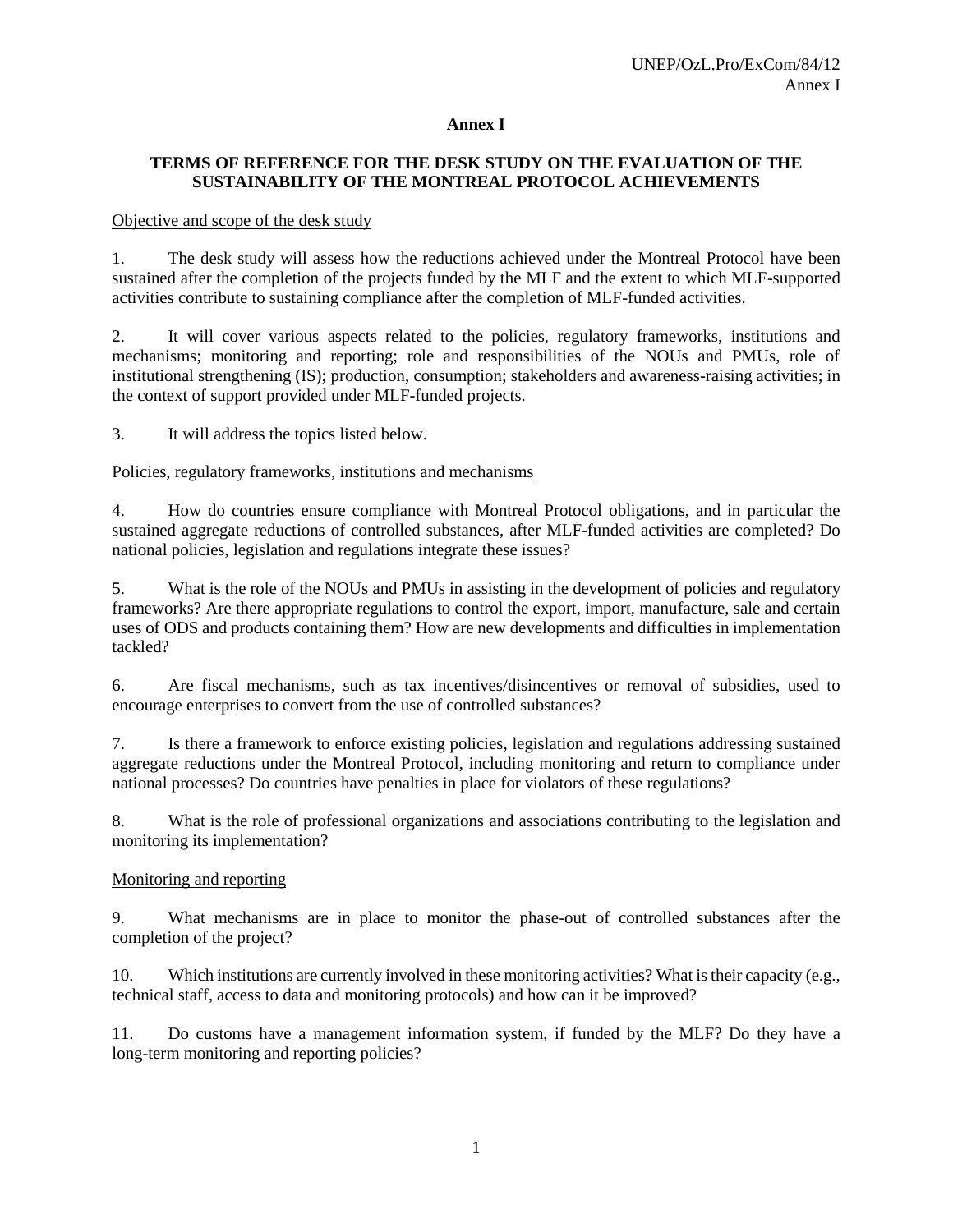## **Annex I**

# **TERMS OF REFERENCE FOR THE DESK STUDY ON THE EVALUATION OF THE SUSTAINABILITY OF THE MONTREAL PROTOCOL ACHIEVEMENTS**

#### Objective and scope of the desk study

1. The desk study will assess how the reductions achieved under the Montreal Protocol have been sustained after the completion of the projects funded by the MLF and the extent to which MLF-supported activities contribute to sustaining compliance after the completion of MLF-funded activities.

2. It will cover various aspects related to the policies, regulatory frameworks, institutions and mechanisms; monitoring and reporting; role and responsibilities of the NOUs and PMUs, role of institutional strengthening (IS); production, consumption; stakeholders and awareness-raising activities; in the context of support provided under MLF-funded projects.

3. It will address the topics listed below.

## Policies, regulatory frameworks, institutions and mechanisms

4. How do countries ensure compliance with Montreal Protocol obligations, and in particular the sustained aggregate reductions of controlled substances, after MLF-funded activities are completed? Do national policies, legislation and regulations integrate these issues?

5. What is the role of the NOUs and PMUs in assisting in the development of policies and regulatory frameworks? Are there appropriate regulations to control the export, import, manufacture, sale and certain uses of ODS and products containing them? How are new developments and difficulties in implementation tackled?

6. Are fiscal mechanisms, such as tax incentives/disincentives or removal of subsidies, used to encourage enterprises to convert from the use of controlled substances?

7. Is there a framework to enforce existing policies, legislation and regulations addressing sustained aggregate reductions under the Montreal Protocol, including monitoring and return to compliance under national processes? Do countries have penalties in place for violators of these regulations?

8. What is the role of professional organizations and associations contributing to the legislation and monitoring its implementation?

#### Monitoring and reporting

9. What mechanisms are in place to monitor the phase-out of controlled substances after the completion of the project?

10. Which institutions are currently involved in these monitoring activities? What is their capacity (e.g., technical staff, access to data and monitoring protocols) and how can it be improved?

11. Do customs have a management information system, if funded by the MLF? Do they have a long-term monitoring and reporting policies?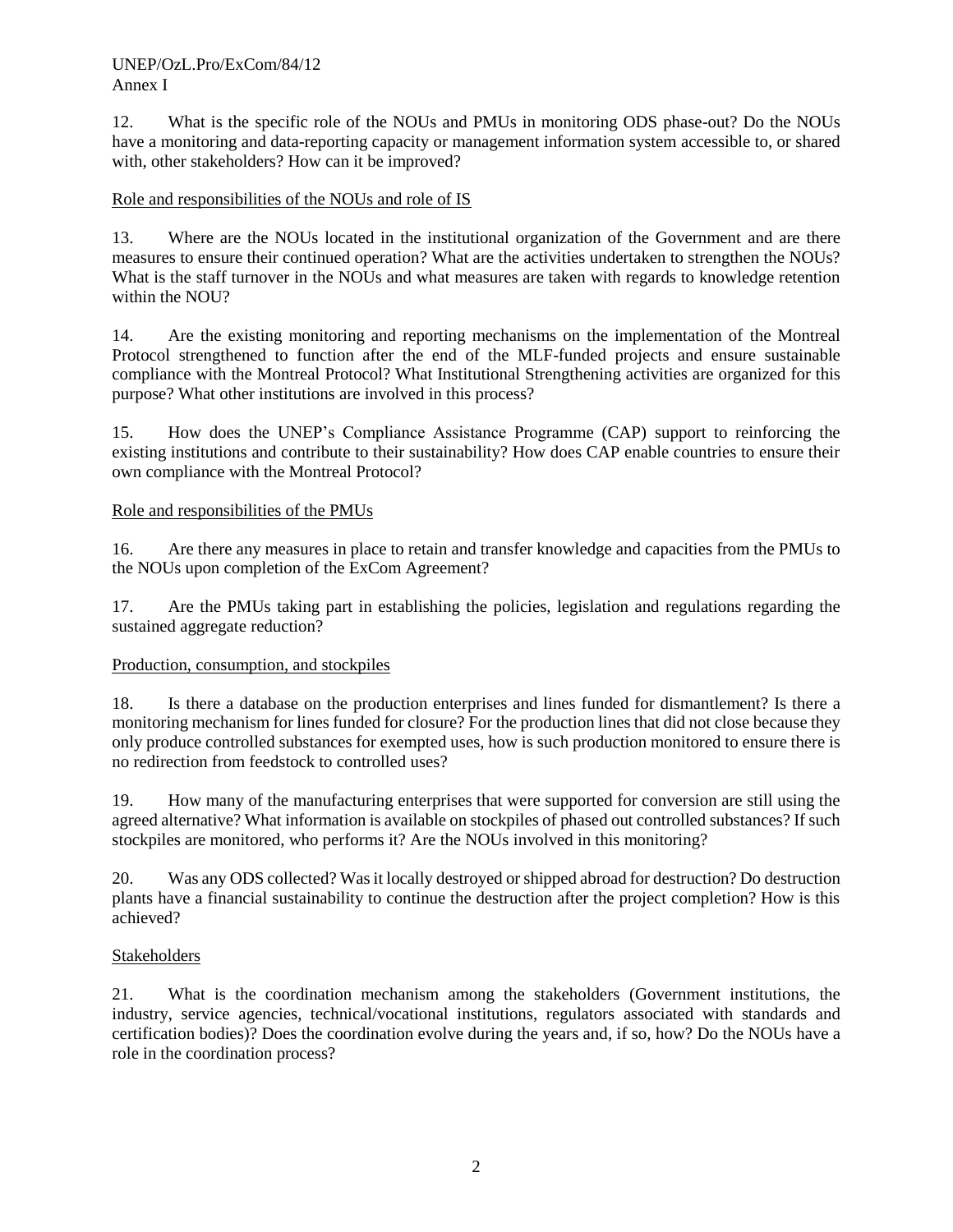## UNEP/OzL.Pro/ExCom/84/12 Annex I

12. What is the specific role of the NOUs and PMUs in monitoring ODS phase-out? Do the NOUs have a monitoring and data-reporting capacity or management information system accessible to, or shared with, other stakeholders? How can it be improved?

## Role and responsibilities of the NOUs and role of IS

13. Where are the NOUs located in the institutional organization of the Government and are there measures to ensure their continued operation? What are the activities undertaken to strengthen the NOUs? What is the staff turnover in the NOUs and what measures are taken with regards to knowledge retention within the NOU?

14. Are the existing monitoring and reporting mechanisms on the implementation of the Montreal Protocol strengthened to function after the end of the MLF-funded projects and ensure sustainable compliance with the Montreal Protocol? What Institutional Strengthening activities are organized for this purpose? What other institutions are involved in this process?

15. How does the UNEP's Compliance Assistance Programme (CAP) support to reinforcing the existing institutions and contribute to their sustainability? How does CAP enable countries to ensure their own compliance with the Montreal Protocol?

## Role and responsibilities of the PMUs

16. Are there any measures in place to retain and transfer knowledge and capacities from the PMUs to the NOUs upon completion of the ExCom Agreement?

17. Are the PMUs taking part in establishing the policies, legislation and regulations regarding the sustained aggregate reduction?

#### Production, consumption, and stockpiles

18. Is there a database on the production enterprises and lines funded for dismantlement? Is there a monitoring mechanism for lines funded for closure? For the production lines that did not close because they only produce controlled substances for exempted uses, how is such production monitored to ensure there is no redirection from feedstock to controlled uses?

19. How many of the manufacturing enterprises that were supported for conversion are still using the agreed alternative? What information is available on stockpiles of phased out controlled substances? If such stockpiles are monitored, who performs it? Are the NOUs involved in this monitoring?

20. Was any ODS collected? Was it locally destroyed or shipped abroad for destruction? Do destruction plants have a financial sustainability to continue the destruction after the project completion? How is this achieved?

#### **Stakeholders**

21. What is the coordination mechanism among the stakeholders (Government institutions, the industry, service agencies, technical/vocational institutions, regulators associated with standards and certification bodies)? Does the coordination evolve during the years and, if so, how? Do the NOUs have a role in the coordination process?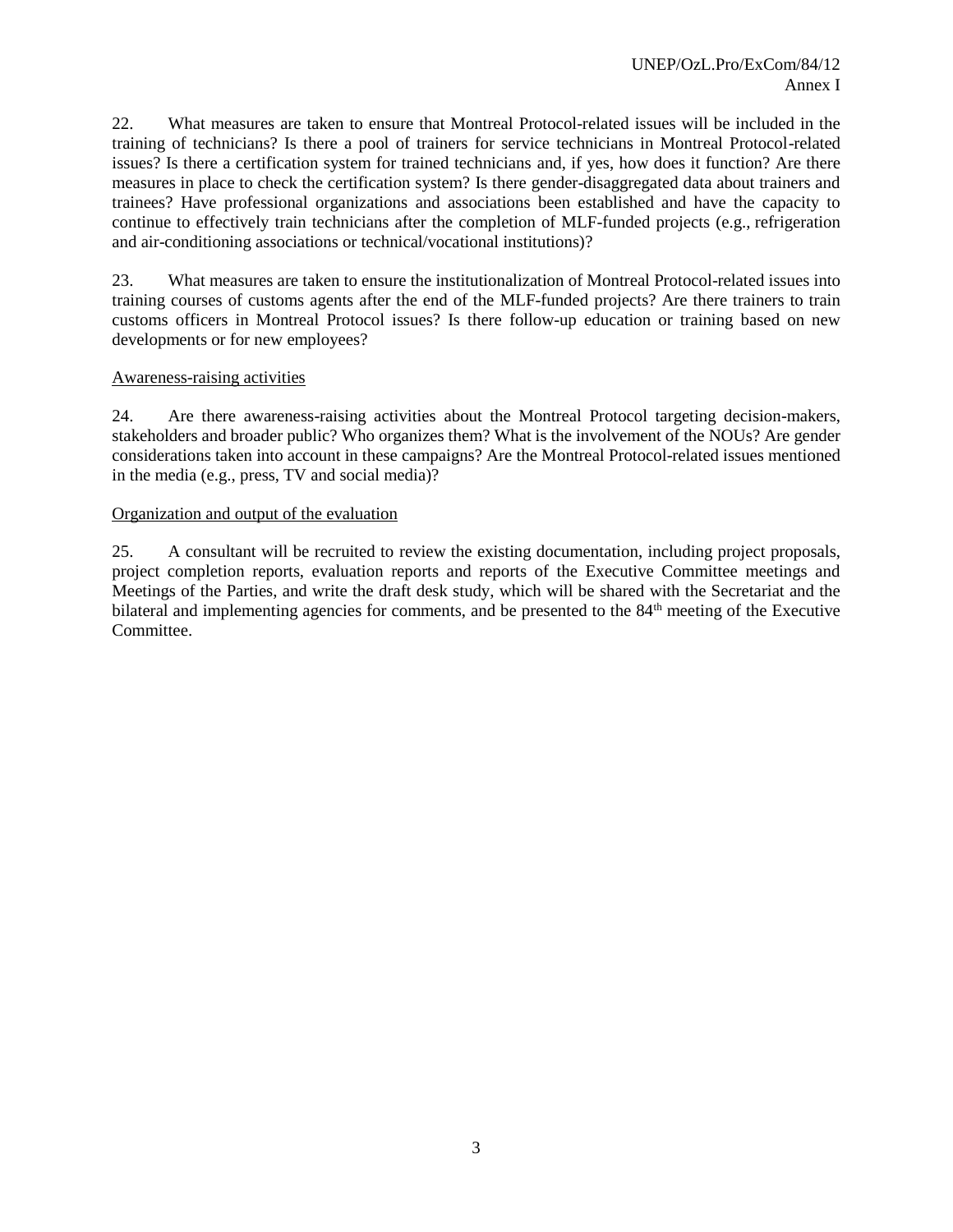22. What measures are taken to ensure that Montreal Protocol-related issues will be included in the training of technicians? Is there a pool of trainers for service technicians in Montreal Protocol-related issues? Is there a certification system for trained technicians and, if yes, how does it function? Are there measures in place to check the certification system? Is there gender-disaggregated data about trainers and trainees? Have professional organizations and associations been established and have the capacity to continue to effectively train technicians after the completion of MLF-funded projects (e.g., refrigeration and air-conditioning associations or technical/vocational institutions)?

23. What measures are taken to ensure the institutionalization of Montreal Protocol-related issues into training courses of customs agents after the end of the MLF-funded projects? Are there trainers to train customs officers in Montreal Protocol issues? Is there follow-up education or training based on new developments or for new employees?

#### Awareness-raising activities

24. Are there awareness-raising activities about the Montreal Protocol targeting decision-makers, stakeholders and broader public? Who organizes them? What is the involvement of the NOUs? Are gender considerations taken into account in these campaigns? Are the Montreal Protocol-related issues mentioned in the media (e.g., press, TV and social media)?

#### Organization and output of the evaluation

25. A consultant will be recruited to review the existing documentation, including project proposals, project completion reports, evaluation reports and reports of the Executive Committee meetings and Meetings of the Parties, and write the draft desk study, which will be shared with the Secretariat and the bilateral and implementing agencies for comments, and be presented to the 84<sup>th</sup> meeting of the Executive Committee.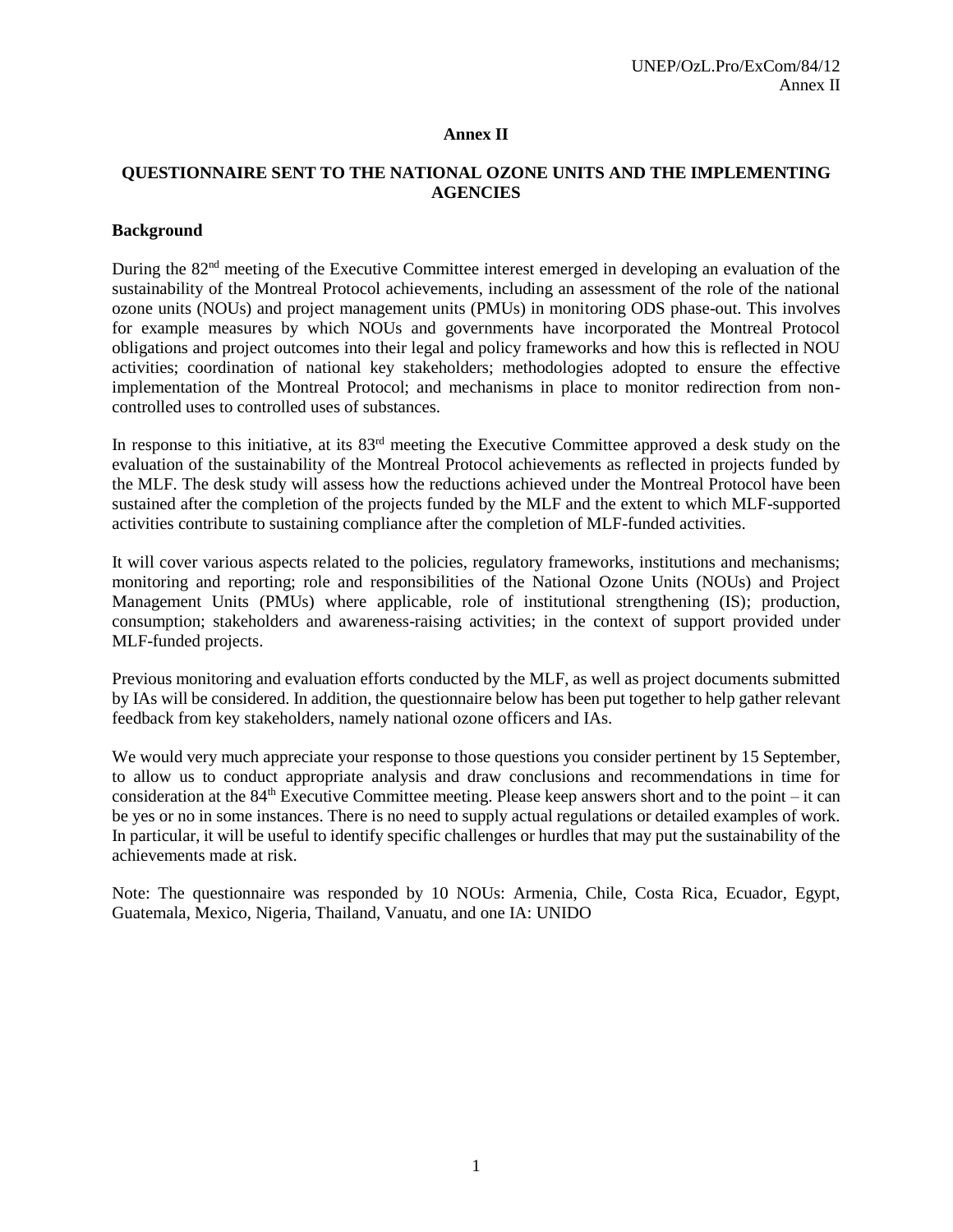#### **Annex II**

## **QUESTIONNAIRE SENT TO THE NATIONAL OZONE UNITS AND THE IMPLEMENTING AGENCIES**

## **Background**

During the 82<sup>nd</sup> meeting of the Executive Committee interest emerged in developing an evaluation of the sustainability of the Montreal Protocol achievements, including an assessment of the role of the national ozone units (NOUs) and project management units (PMUs) in monitoring ODS phase-out. This involves for example measures by which NOUs and governments have incorporated the Montreal Protocol obligations and project outcomes into their legal and policy frameworks and how this is reflected in NOU activities; coordination of national key stakeholders; methodologies adopted to ensure the effective implementation of the Montreal Protocol; and mechanisms in place to monitor redirection from noncontrolled uses to controlled uses of substances.

In response to this initiative, at its 83<sup>rd</sup> meeting the Executive Committee approved a desk study on the evaluation of the sustainability of the Montreal Protocol achievements as reflected in projects funded by the MLF. The desk study will assess how the reductions achieved under the Montreal Protocol have been sustained after the completion of the projects funded by the MLF and the extent to which MLF-supported activities contribute to sustaining compliance after the completion of MLF-funded activities.

It will cover various aspects related to the policies, regulatory frameworks, institutions and mechanisms; monitoring and reporting; role and responsibilities of the National Ozone Units (NOUs) and Project Management Units (PMUs) where applicable, role of institutional strengthening (IS); production, consumption; stakeholders and awareness-raising activities; in the context of support provided under MLF-funded projects.

Previous monitoring and evaluation efforts conducted by the MLF, as well as project documents submitted by IAs will be considered. In addition, the questionnaire below has been put together to help gather relevant feedback from key stakeholders, namely national ozone officers and IAs.

We would very much appreciate your response to those questions you consider pertinent by 15 September, to allow us to conduct appropriate analysis and draw conclusions and recommendations in time for consideration at the  $84<sup>th</sup>$  Executive Committee meeting. Please keep answers short and to the point – it can be yes or no in some instances. There is no need to supply actual regulations or detailed examples of work. In particular, it will be useful to identify specific challenges or hurdles that may put the sustainability of the achievements made at risk.

Note: The questionnaire was responded by 10 NOUs: Armenia, Chile, Costa Rica, Ecuador, Egypt, Guatemala, Mexico, Nigeria, Thailand, Vanuatu, and one IA: UNIDO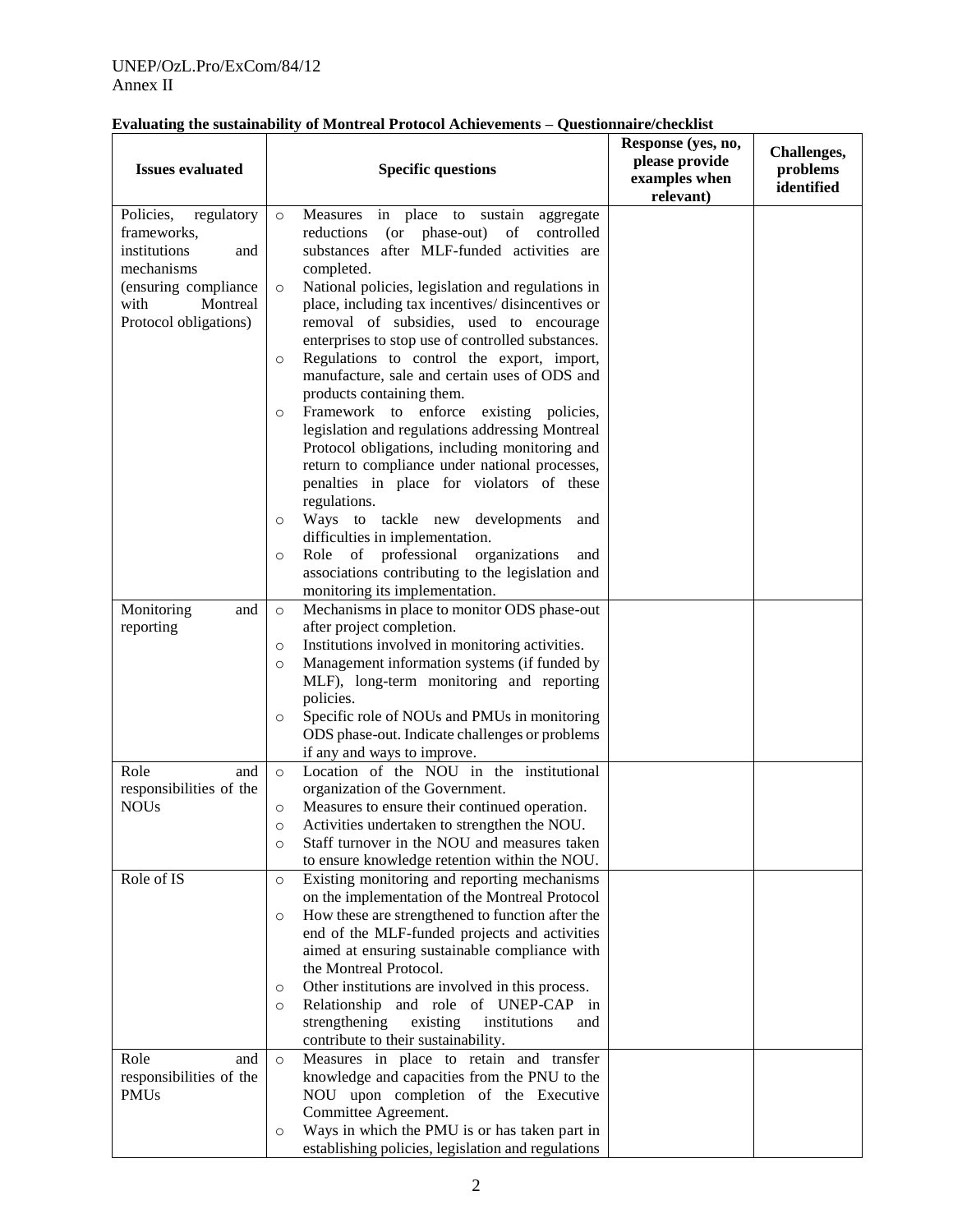| Policies,<br>Measures<br>in place to sustain<br>regulatory<br>$\circ$<br>aggregate<br>frameworks,<br>reductions<br>$($ or<br>phase-out) of<br>controlled<br>substances after MLF-funded activities are<br>institutions<br>and<br>mechanisms<br>completed.<br>(ensuring compliance<br>National policies, legislation and regulations in<br>$\circ$<br>with<br>Montreal<br>place, including tax incentives/disincentives or<br>removal of subsidies, used to encourage<br>Protocol obligations)<br>enterprises to stop use of controlled substances.<br>Regulations to control the export, import,<br>$\circ$<br>manufacture, sale and certain uses of ODS and<br>products containing them.<br>Framework to enforce<br>existing policies,<br>$\circ$<br>legislation and regulations addressing Montreal<br>Protocol obligations, including monitoring and<br>return to compliance under national processes,<br>penalties in place for violators of these<br>regulations.<br>Ways to tackle new developments<br>and<br>$\circ$<br>difficulties in implementation.<br>Role of professional<br>organizations<br>and<br>$\circ$<br>associations contributing to the legislation and<br>monitoring its implementation.<br>Mechanisms in place to monitor ODS phase-out<br>Monitoring<br>and<br>$\circ$<br>after project completion.<br>reporting<br>Institutions involved in monitoring activities.<br>$\circ$<br>Management information systems (if funded by<br>$\circ$<br>MLF), long-term monitoring and reporting<br>policies.<br>Specific role of NOUs and PMUs in monitoring<br>$\circ$<br>ODS phase-out. Indicate challenges or problems<br>if any and ways to improve.<br>Role<br>Location of the NOU in the institutional<br>and<br>$\circ$<br>responsibilities of the<br>organization of the Government.<br><b>NOUs</b><br>Measures to ensure their continued operation.<br>$\circ$<br>Activities undertaken to strengthen the NOU.<br>$\circ$<br>Staff turnover in the NOU and measures taken<br>$\circ$<br>to ensure knowledge retention within the NOU.<br>Role of IS<br>Existing monitoring and reporting mechanisms<br>$\circ$<br>on the implementation of the Montreal Protocol<br>How these are strengthened to function after the<br>$\circ$<br>end of the MLF-funded projects and activities<br>aimed at ensuring sustainable compliance with<br>the Montreal Protocol.<br>Other institutions are involved in this process.<br>O<br>Relationship and role of UNEP-CAP in<br>$\circ$<br>strengthening<br>existing<br>institutions<br>and<br>contribute to their sustainability.<br>Measures in place to retain and transfer<br>Role<br>and<br>$\circ$<br>responsibilities of the<br>knowledge and capacities from the PNU to the<br><b>PMUs</b><br>NOU upon completion of the Executive<br>Committee Agreement.<br>Ways in which the PMU is or has taken part in<br>$\circ$<br>establishing policies, legislation and regulations | <b>Issues evaluated</b> | <b>Specific questions</b> | Response (yes, no,<br>please provide<br>examples when<br>relevant) | Challenges,<br>problems<br>identified |
|----------------------------------------------------------------------------------------------------------------------------------------------------------------------------------------------------------------------------------------------------------------------------------------------------------------------------------------------------------------------------------------------------------------------------------------------------------------------------------------------------------------------------------------------------------------------------------------------------------------------------------------------------------------------------------------------------------------------------------------------------------------------------------------------------------------------------------------------------------------------------------------------------------------------------------------------------------------------------------------------------------------------------------------------------------------------------------------------------------------------------------------------------------------------------------------------------------------------------------------------------------------------------------------------------------------------------------------------------------------------------------------------------------------------------------------------------------------------------------------------------------------------------------------------------------------------------------------------------------------------------------------------------------------------------------------------------------------------------------------------------------------------------------------------------------------------------------------------------------------------------------------------------------------------------------------------------------------------------------------------------------------------------------------------------------------------------------------------------------------------------------------------------------------------------------------------------------------------------------------------------------------------------------------------------------------------------------------------------------------------------------------------------------------------------------------------------------------------------------------------------------------------------------------------------------------------------------------------------------------------------------------------------------------------------------------------------------------------------------------------------------------------------------------------------------------------------------------------------------------------------------------------------------------------------------------------|-------------------------|---------------------------|--------------------------------------------------------------------|---------------------------------------|
|                                                                                                                                                                                                                                                                                                                                                                                                                                                                                                                                                                                                                                                                                                                                                                                                                                                                                                                                                                                                                                                                                                                                                                                                                                                                                                                                                                                                                                                                                                                                                                                                                                                                                                                                                                                                                                                                                                                                                                                                                                                                                                                                                                                                                                                                                                                                                                                                                                                                                                                                                                                                                                                                                                                                                                                                                                                                                                                                              |                         |                           |                                                                    |                                       |
|                                                                                                                                                                                                                                                                                                                                                                                                                                                                                                                                                                                                                                                                                                                                                                                                                                                                                                                                                                                                                                                                                                                                                                                                                                                                                                                                                                                                                                                                                                                                                                                                                                                                                                                                                                                                                                                                                                                                                                                                                                                                                                                                                                                                                                                                                                                                                                                                                                                                                                                                                                                                                                                                                                                                                                                                                                                                                                                                              |                         |                           |                                                                    |                                       |
|                                                                                                                                                                                                                                                                                                                                                                                                                                                                                                                                                                                                                                                                                                                                                                                                                                                                                                                                                                                                                                                                                                                                                                                                                                                                                                                                                                                                                                                                                                                                                                                                                                                                                                                                                                                                                                                                                                                                                                                                                                                                                                                                                                                                                                                                                                                                                                                                                                                                                                                                                                                                                                                                                                                                                                                                                                                                                                                                              |                         |                           |                                                                    |                                       |
|                                                                                                                                                                                                                                                                                                                                                                                                                                                                                                                                                                                                                                                                                                                                                                                                                                                                                                                                                                                                                                                                                                                                                                                                                                                                                                                                                                                                                                                                                                                                                                                                                                                                                                                                                                                                                                                                                                                                                                                                                                                                                                                                                                                                                                                                                                                                                                                                                                                                                                                                                                                                                                                                                                                                                                                                                                                                                                                                              |                         |                           |                                                                    |                                       |
|                                                                                                                                                                                                                                                                                                                                                                                                                                                                                                                                                                                                                                                                                                                                                                                                                                                                                                                                                                                                                                                                                                                                                                                                                                                                                                                                                                                                                                                                                                                                                                                                                                                                                                                                                                                                                                                                                                                                                                                                                                                                                                                                                                                                                                                                                                                                                                                                                                                                                                                                                                                                                                                                                                                                                                                                                                                                                                                                              |                         |                           |                                                                    |                                       |
|                                                                                                                                                                                                                                                                                                                                                                                                                                                                                                                                                                                                                                                                                                                                                                                                                                                                                                                                                                                                                                                                                                                                                                                                                                                                                                                                                                                                                                                                                                                                                                                                                                                                                                                                                                                                                                                                                                                                                                                                                                                                                                                                                                                                                                                                                                                                                                                                                                                                                                                                                                                                                                                                                                                                                                                                                                                                                                                                              |                         |                           |                                                                    |                                       |
|                                                                                                                                                                                                                                                                                                                                                                                                                                                                                                                                                                                                                                                                                                                                                                                                                                                                                                                                                                                                                                                                                                                                                                                                                                                                                                                                                                                                                                                                                                                                                                                                                                                                                                                                                                                                                                                                                                                                                                                                                                                                                                                                                                                                                                                                                                                                                                                                                                                                                                                                                                                                                                                                                                                                                                                                                                                                                                                                              |                         |                           |                                                                    |                                       |
|                                                                                                                                                                                                                                                                                                                                                                                                                                                                                                                                                                                                                                                                                                                                                                                                                                                                                                                                                                                                                                                                                                                                                                                                                                                                                                                                                                                                                                                                                                                                                                                                                                                                                                                                                                                                                                                                                                                                                                                                                                                                                                                                                                                                                                                                                                                                                                                                                                                                                                                                                                                                                                                                                                                                                                                                                                                                                                                                              |                         |                           |                                                                    |                                       |
|                                                                                                                                                                                                                                                                                                                                                                                                                                                                                                                                                                                                                                                                                                                                                                                                                                                                                                                                                                                                                                                                                                                                                                                                                                                                                                                                                                                                                                                                                                                                                                                                                                                                                                                                                                                                                                                                                                                                                                                                                                                                                                                                                                                                                                                                                                                                                                                                                                                                                                                                                                                                                                                                                                                                                                                                                                                                                                                                              |                         |                           |                                                                    |                                       |
|                                                                                                                                                                                                                                                                                                                                                                                                                                                                                                                                                                                                                                                                                                                                                                                                                                                                                                                                                                                                                                                                                                                                                                                                                                                                                                                                                                                                                                                                                                                                                                                                                                                                                                                                                                                                                                                                                                                                                                                                                                                                                                                                                                                                                                                                                                                                                                                                                                                                                                                                                                                                                                                                                                                                                                                                                                                                                                                                              |                         |                           |                                                                    |                                       |
|                                                                                                                                                                                                                                                                                                                                                                                                                                                                                                                                                                                                                                                                                                                                                                                                                                                                                                                                                                                                                                                                                                                                                                                                                                                                                                                                                                                                                                                                                                                                                                                                                                                                                                                                                                                                                                                                                                                                                                                                                                                                                                                                                                                                                                                                                                                                                                                                                                                                                                                                                                                                                                                                                                                                                                                                                                                                                                                                              |                         |                           |                                                                    |                                       |
|                                                                                                                                                                                                                                                                                                                                                                                                                                                                                                                                                                                                                                                                                                                                                                                                                                                                                                                                                                                                                                                                                                                                                                                                                                                                                                                                                                                                                                                                                                                                                                                                                                                                                                                                                                                                                                                                                                                                                                                                                                                                                                                                                                                                                                                                                                                                                                                                                                                                                                                                                                                                                                                                                                                                                                                                                                                                                                                                              |                         |                           |                                                                    |                                       |
|                                                                                                                                                                                                                                                                                                                                                                                                                                                                                                                                                                                                                                                                                                                                                                                                                                                                                                                                                                                                                                                                                                                                                                                                                                                                                                                                                                                                                                                                                                                                                                                                                                                                                                                                                                                                                                                                                                                                                                                                                                                                                                                                                                                                                                                                                                                                                                                                                                                                                                                                                                                                                                                                                                                                                                                                                                                                                                                                              |                         |                           |                                                                    |                                       |
|                                                                                                                                                                                                                                                                                                                                                                                                                                                                                                                                                                                                                                                                                                                                                                                                                                                                                                                                                                                                                                                                                                                                                                                                                                                                                                                                                                                                                                                                                                                                                                                                                                                                                                                                                                                                                                                                                                                                                                                                                                                                                                                                                                                                                                                                                                                                                                                                                                                                                                                                                                                                                                                                                                                                                                                                                                                                                                                                              |                         |                           |                                                                    |                                       |
|                                                                                                                                                                                                                                                                                                                                                                                                                                                                                                                                                                                                                                                                                                                                                                                                                                                                                                                                                                                                                                                                                                                                                                                                                                                                                                                                                                                                                                                                                                                                                                                                                                                                                                                                                                                                                                                                                                                                                                                                                                                                                                                                                                                                                                                                                                                                                                                                                                                                                                                                                                                                                                                                                                                                                                                                                                                                                                                                              |                         |                           |                                                                    |                                       |
|                                                                                                                                                                                                                                                                                                                                                                                                                                                                                                                                                                                                                                                                                                                                                                                                                                                                                                                                                                                                                                                                                                                                                                                                                                                                                                                                                                                                                                                                                                                                                                                                                                                                                                                                                                                                                                                                                                                                                                                                                                                                                                                                                                                                                                                                                                                                                                                                                                                                                                                                                                                                                                                                                                                                                                                                                                                                                                                                              |                         |                           |                                                                    |                                       |
|                                                                                                                                                                                                                                                                                                                                                                                                                                                                                                                                                                                                                                                                                                                                                                                                                                                                                                                                                                                                                                                                                                                                                                                                                                                                                                                                                                                                                                                                                                                                                                                                                                                                                                                                                                                                                                                                                                                                                                                                                                                                                                                                                                                                                                                                                                                                                                                                                                                                                                                                                                                                                                                                                                                                                                                                                                                                                                                                              |                         |                           |                                                                    |                                       |
|                                                                                                                                                                                                                                                                                                                                                                                                                                                                                                                                                                                                                                                                                                                                                                                                                                                                                                                                                                                                                                                                                                                                                                                                                                                                                                                                                                                                                                                                                                                                                                                                                                                                                                                                                                                                                                                                                                                                                                                                                                                                                                                                                                                                                                                                                                                                                                                                                                                                                                                                                                                                                                                                                                                                                                                                                                                                                                                                              |                         |                           |                                                                    |                                       |
|                                                                                                                                                                                                                                                                                                                                                                                                                                                                                                                                                                                                                                                                                                                                                                                                                                                                                                                                                                                                                                                                                                                                                                                                                                                                                                                                                                                                                                                                                                                                                                                                                                                                                                                                                                                                                                                                                                                                                                                                                                                                                                                                                                                                                                                                                                                                                                                                                                                                                                                                                                                                                                                                                                                                                                                                                                                                                                                                              |                         |                           |                                                                    |                                       |
|                                                                                                                                                                                                                                                                                                                                                                                                                                                                                                                                                                                                                                                                                                                                                                                                                                                                                                                                                                                                                                                                                                                                                                                                                                                                                                                                                                                                                                                                                                                                                                                                                                                                                                                                                                                                                                                                                                                                                                                                                                                                                                                                                                                                                                                                                                                                                                                                                                                                                                                                                                                                                                                                                                                                                                                                                                                                                                                                              |                         |                           |                                                                    |                                       |
|                                                                                                                                                                                                                                                                                                                                                                                                                                                                                                                                                                                                                                                                                                                                                                                                                                                                                                                                                                                                                                                                                                                                                                                                                                                                                                                                                                                                                                                                                                                                                                                                                                                                                                                                                                                                                                                                                                                                                                                                                                                                                                                                                                                                                                                                                                                                                                                                                                                                                                                                                                                                                                                                                                                                                                                                                                                                                                                                              |                         |                           |                                                                    |                                       |
|                                                                                                                                                                                                                                                                                                                                                                                                                                                                                                                                                                                                                                                                                                                                                                                                                                                                                                                                                                                                                                                                                                                                                                                                                                                                                                                                                                                                                                                                                                                                                                                                                                                                                                                                                                                                                                                                                                                                                                                                                                                                                                                                                                                                                                                                                                                                                                                                                                                                                                                                                                                                                                                                                                                                                                                                                                                                                                                                              |                         |                           |                                                                    |                                       |
|                                                                                                                                                                                                                                                                                                                                                                                                                                                                                                                                                                                                                                                                                                                                                                                                                                                                                                                                                                                                                                                                                                                                                                                                                                                                                                                                                                                                                                                                                                                                                                                                                                                                                                                                                                                                                                                                                                                                                                                                                                                                                                                                                                                                                                                                                                                                                                                                                                                                                                                                                                                                                                                                                                                                                                                                                                                                                                                                              |                         |                           |                                                                    |                                       |
|                                                                                                                                                                                                                                                                                                                                                                                                                                                                                                                                                                                                                                                                                                                                                                                                                                                                                                                                                                                                                                                                                                                                                                                                                                                                                                                                                                                                                                                                                                                                                                                                                                                                                                                                                                                                                                                                                                                                                                                                                                                                                                                                                                                                                                                                                                                                                                                                                                                                                                                                                                                                                                                                                                                                                                                                                                                                                                                                              |                         |                           |                                                                    |                                       |
|                                                                                                                                                                                                                                                                                                                                                                                                                                                                                                                                                                                                                                                                                                                                                                                                                                                                                                                                                                                                                                                                                                                                                                                                                                                                                                                                                                                                                                                                                                                                                                                                                                                                                                                                                                                                                                                                                                                                                                                                                                                                                                                                                                                                                                                                                                                                                                                                                                                                                                                                                                                                                                                                                                                                                                                                                                                                                                                                              |                         |                           |                                                                    |                                       |
|                                                                                                                                                                                                                                                                                                                                                                                                                                                                                                                                                                                                                                                                                                                                                                                                                                                                                                                                                                                                                                                                                                                                                                                                                                                                                                                                                                                                                                                                                                                                                                                                                                                                                                                                                                                                                                                                                                                                                                                                                                                                                                                                                                                                                                                                                                                                                                                                                                                                                                                                                                                                                                                                                                                                                                                                                                                                                                                                              |                         |                           |                                                                    |                                       |
|                                                                                                                                                                                                                                                                                                                                                                                                                                                                                                                                                                                                                                                                                                                                                                                                                                                                                                                                                                                                                                                                                                                                                                                                                                                                                                                                                                                                                                                                                                                                                                                                                                                                                                                                                                                                                                                                                                                                                                                                                                                                                                                                                                                                                                                                                                                                                                                                                                                                                                                                                                                                                                                                                                                                                                                                                                                                                                                                              |                         |                           |                                                                    |                                       |
|                                                                                                                                                                                                                                                                                                                                                                                                                                                                                                                                                                                                                                                                                                                                                                                                                                                                                                                                                                                                                                                                                                                                                                                                                                                                                                                                                                                                                                                                                                                                                                                                                                                                                                                                                                                                                                                                                                                                                                                                                                                                                                                                                                                                                                                                                                                                                                                                                                                                                                                                                                                                                                                                                                                                                                                                                                                                                                                                              |                         |                           |                                                                    |                                       |
|                                                                                                                                                                                                                                                                                                                                                                                                                                                                                                                                                                                                                                                                                                                                                                                                                                                                                                                                                                                                                                                                                                                                                                                                                                                                                                                                                                                                                                                                                                                                                                                                                                                                                                                                                                                                                                                                                                                                                                                                                                                                                                                                                                                                                                                                                                                                                                                                                                                                                                                                                                                                                                                                                                                                                                                                                                                                                                                                              |                         |                           |                                                                    |                                       |
|                                                                                                                                                                                                                                                                                                                                                                                                                                                                                                                                                                                                                                                                                                                                                                                                                                                                                                                                                                                                                                                                                                                                                                                                                                                                                                                                                                                                                                                                                                                                                                                                                                                                                                                                                                                                                                                                                                                                                                                                                                                                                                                                                                                                                                                                                                                                                                                                                                                                                                                                                                                                                                                                                                                                                                                                                                                                                                                                              |                         |                           |                                                                    |                                       |
|                                                                                                                                                                                                                                                                                                                                                                                                                                                                                                                                                                                                                                                                                                                                                                                                                                                                                                                                                                                                                                                                                                                                                                                                                                                                                                                                                                                                                                                                                                                                                                                                                                                                                                                                                                                                                                                                                                                                                                                                                                                                                                                                                                                                                                                                                                                                                                                                                                                                                                                                                                                                                                                                                                                                                                                                                                                                                                                                              |                         |                           |                                                                    |                                       |
|                                                                                                                                                                                                                                                                                                                                                                                                                                                                                                                                                                                                                                                                                                                                                                                                                                                                                                                                                                                                                                                                                                                                                                                                                                                                                                                                                                                                                                                                                                                                                                                                                                                                                                                                                                                                                                                                                                                                                                                                                                                                                                                                                                                                                                                                                                                                                                                                                                                                                                                                                                                                                                                                                                                                                                                                                                                                                                                                              |                         |                           |                                                                    |                                       |
|                                                                                                                                                                                                                                                                                                                                                                                                                                                                                                                                                                                                                                                                                                                                                                                                                                                                                                                                                                                                                                                                                                                                                                                                                                                                                                                                                                                                                                                                                                                                                                                                                                                                                                                                                                                                                                                                                                                                                                                                                                                                                                                                                                                                                                                                                                                                                                                                                                                                                                                                                                                                                                                                                                                                                                                                                                                                                                                                              |                         |                           |                                                                    |                                       |
|                                                                                                                                                                                                                                                                                                                                                                                                                                                                                                                                                                                                                                                                                                                                                                                                                                                                                                                                                                                                                                                                                                                                                                                                                                                                                                                                                                                                                                                                                                                                                                                                                                                                                                                                                                                                                                                                                                                                                                                                                                                                                                                                                                                                                                                                                                                                                                                                                                                                                                                                                                                                                                                                                                                                                                                                                                                                                                                                              |                         |                           |                                                                    |                                       |
|                                                                                                                                                                                                                                                                                                                                                                                                                                                                                                                                                                                                                                                                                                                                                                                                                                                                                                                                                                                                                                                                                                                                                                                                                                                                                                                                                                                                                                                                                                                                                                                                                                                                                                                                                                                                                                                                                                                                                                                                                                                                                                                                                                                                                                                                                                                                                                                                                                                                                                                                                                                                                                                                                                                                                                                                                                                                                                                                              |                         |                           |                                                                    |                                       |
|                                                                                                                                                                                                                                                                                                                                                                                                                                                                                                                                                                                                                                                                                                                                                                                                                                                                                                                                                                                                                                                                                                                                                                                                                                                                                                                                                                                                                                                                                                                                                                                                                                                                                                                                                                                                                                                                                                                                                                                                                                                                                                                                                                                                                                                                                                                                                                                                                                                                                                                                                                                                                                                                                                                                                                                                                                                                                                                                              |                         |                           |                                                                    |                                       |
|                                                                                                                                                                                                                                                                                                                                                                                                                                                                                                                                                                                                                                                                                                                                                                                                                                                                                                                                                                                                                                                                                                                                                                                                                                                                                                                                                                                                                                                                                                                                                                                                                                                                                                                                                                                                                                                                                                                                                                                                                                                                                                                                                                                                                                                                                                                                                                                                                                                                                                                                                                                                                                                                                                                                                                                                                                                                                                                                              |                         |                           |                                                                    |                                       |
|                                                                                                                                                                                                                                                                                                                                                                                                                                                                                                                                                                                                                                                                                                                                                                                                                                                                                                                                                                                                                                                                                                                                                                                                                                                                                                                                                                                                                                                                                                                                                                                                                                                                                                                                                                                                                                                                                                                                                                                                                                                                                                                                                                                                                                                                                                                                                                                                                                                                                                                                                                                                                                                                                                                                                                                                                                                                                                                                              |                         |                           |                                                                    |                                       |
|                                                                                                                                                                                                                                                                                                                                                                                                                                                                                                                                                                                                                                                                                                                                                                                                                                                                                                                                                                                                                                                                                                                                                                                                                                                                                                                                                                                                                                                                                                                                                                                                                                                                                                                                                                                                                                                                                                                                                                                                                                                                                                                                                                                                                                                                                                                                                                                                                                                                                                                                                                                                                                                                                                                                                                                                                                                                                                                                              |                         |                           |                                                                    |                                       |
|                                                                                                                                                                                                                                                                                                                                                                                                                                                                                                                                                                                                                                                                                                                                                                                                                                                                                                                                                                                                                                                                                                                                                                                                                                                                                                                                                                                                                                                                                                                                                                                                                                                                                                                                                                                                                                                                                                                                                                                                                                                                                                                                                                                                                                                                                                                                                                                                                                                                                                                                                                                                                                                                                                                                                                                                                                                                                                                                              |                         |                           |                                                                    |                                       |
|                                                                                                                                                                                                                                                                                                                                                                                                                                                                                                                                                                                                                                                                                                                                                                                                                                                                                                                                                                                                                                                                                                                                                                                                                                                                                                                                                                                                                                                                                                                                                                                                                                                                                                                                                                                                                                                                                                                                                                                                                                                                                                                                                                                                                                                                                                                                                                                                                                                                                                                                                                                                                                                                                                                                                                                                                                                                                                                                              |                         |                           |                                                                    |                                       |
|                                                                                                                                                                                                                                                                                                                                                                                                                                                                                                                                                                                                                                                                                                                                                                                                                                                                                                                                                                                                                                                                                                                                                                                                                                                                                                                                                                                                                                                                                                                                                                                                                                                                                                                                                                                                                                                                                                                                                                                                                                                                                                                                                                                                                                                                                                                                                                                                                                                                                                                                                                                                                                                                                                                                                                                                                                                                                                                                              |                         |                           |                                                                    |                                       |
|                                                                                                                                                                                                                                                                                                                                                                                                                                                                                                                                                                                                                                                                                                                                                                                                                                                                                                                                                                                                                                                                                                                                                                                                                                                                                                                                                                                                                                                                                                                                                                                                                                                                                                                                                                                                                                                                                                                                                                                                                                                                                                                                                                                                                                                                                                                                                                                                                                                                                                                                                                                                                                                                                                                                                                                                                                                                                                                                              |                         |                           |                                                                    |                                       |
|                                                                                                                                                                                                                                                                                                                                                                                                                                                                                                                                                                                                                                                                                                                                                                                                                                                                                                                                                                                                                                                                                                                                                                                                                                                                                                                                                                                                                                                                                                                                                                                                                                                                                                                                                                                                                                                                                                                                                                                                                                                                                                                                                                                                                                                                                                                                                                                                                                                                                                                                                                                                                                                                                                                                                                                                                                                                                                                                              |                         |                           |                                                                    |                                       |
|                                                                                                                                                                                                                                                                                                                                                                                                                                                                                                                                                                                                                                                                                                                                                                                                                                                                                                                                                                                                                                                                                                                                                                                                                                                                                                                                                                                                                                                                                                                                                                                                                                                                                                                                                                                                                                                                                                                                                                                                                                                                                                                                                                                                                                                                                                                                                                                                                                                                                                                                                                                                                                                                                                                                                                                                                                                                                                                                              |                         |                           |                                                                    |                                       |
|                                                                                                                                                                                                                                                                                                                                                                                                                                                                                                                                                                                                                                                                                                                                                                                                                                                                                                                                                                                                                                                                                                                                                                                                                                                                                                                                                                                                                                                                                                                                                                                                                                                                                                                                                                                                                                                                                                                                                                                                                                                                                                                                                                                                                                                                                                                                                                                                                                                                                                                                                                                                                                                                                                                                                                                                                                                                                                                                              |                         |                           |                                                                    |                                       |
|                                                                                                                                                                                                                                                                                                                                                                                                                                                                                                                                                                                                                                                                                                                                                                                                                                                                                                                                                                                                                                                                                                                                                                                                                                                                                                                                                                                                                                                                                                                                                                                                                                                                                                                                                                                                                                                                                                                                                                                                                                                                                                                                                                                                                                                                                                                                                                                                                                                                                                                                                                                                                                                                                                                                                                                                                                                                                                                                              |                         |                           |                                                                    |                                       |
|                                                                                                                                                                                                                                                                                                                                                                                                                                                                                                                                                                                                                                                                                                                                                                                                                                                                                                                                                                                                                                                                                                                                                                                                                                                                                                                                                                                                                                                                                                                                                                                                                                                                                                                                                                                                                                                                                                                                                                                                                                                                                                                                                                                                                                                                                                                                                                                                                                                                                                                                                                                                                                                                                                                                                                                                                                                                                                                                              |                         |                           |                                                                    |                                       |
|                                                                                                                                                                                                                                                                                                                                                                                                                                                                                                                                                                                                                                                                                                                                                                                                                                                                                                                                                                                                                                                                                                                                                                                                                                                                                                                                                                                                                                                                                                                                                                                                                                                                                                                                                                                                                                                                                                                                                                                                                                                                                                                                                                                                                                                                                                                                                                                                                                                                                                                                                                                                                                                                                                                                                                                                                                                                                                                                              |                         |                           |                                                                    |                                       |
|                                                                                                                                                                                                                                                                                                                                                                                                                                                                                                                                                                                                                                                                                                                                                                                                                                                                                                                                                                                                                                                                                                                                                                                                                                                                                                                                                                                                                                                                                                                                                                                                                                                                                                                                                                                                                                                                                                                                                                                                                                                                                                                                                                                                                                                                                                                                                                                                                                                                                                                                                                                                                                                                                                                                                                                                                                                                                                                                              |                         |                           |                                                                    |                                       |
|                                                                                                                                                                                                                                                                                                                                                                                                                                                                                                                                                                                                                                                                                                                                                                                                                                                                                                                                                                                                                                                                                                                                                                                                                                                                                                                                                                                                                                                                                                                                                                                                                                                                                                                                                                                                                                                                                                                                                                                                                                                                                                                                                                                                                                                                                                                                                                                                                                                                                                                                                                                                                                                                                                                                                                                                                                                                                                                                              |                         |                           |                                                                    |                                       |
|                                                                                                                                                                                                                                                                                                                                                                                                                                                                                                                                                                                                                                                                                                                                                                                                                                                                                                                                                                                                                                                                                                                                                                                                                                                                                                                                                                                                                                                                                                                                                                                                                                                                                                                                                                                                                                                                                                                                                                                                                                                                                                                                                                                                                                                                                                                                                                                                                                                                                                                                                                                                                                                                                                                                                                                                                                                                                                                                              |                         |                           |                                                                    |                                       |

#### **Evaluating the sustainability of Montreal Protocol Achievements – Questionnaire/checklist**